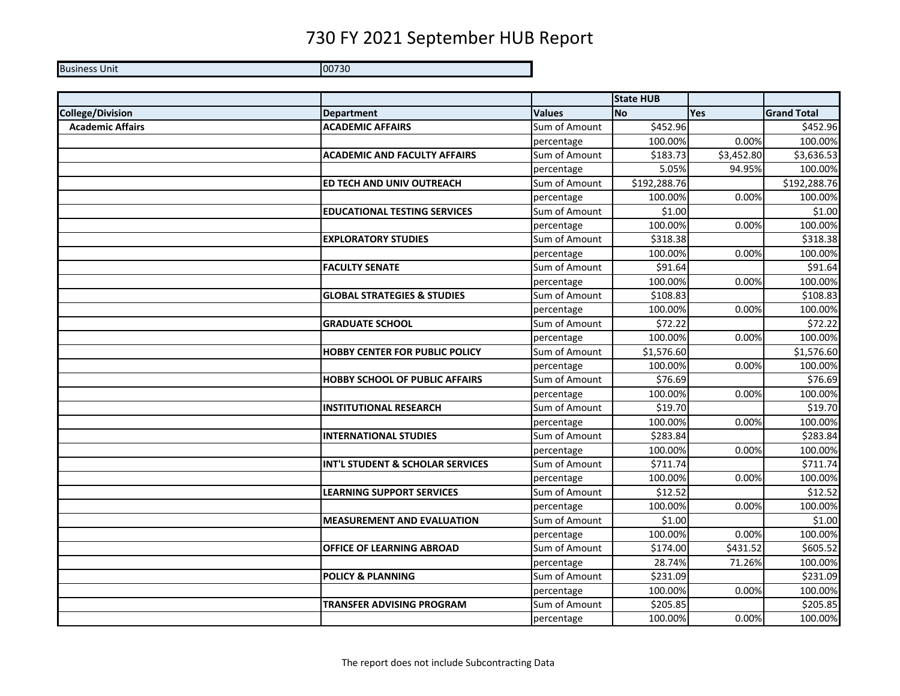Business Unit 00730

|                         |                                        |               | <b>State HUB</b> |            |                      |
|-------------------------|----------------------------------------|---------------|------------------|------------|----------------------|
| <b>College/Division</b> | <b>Department</b>                      | <b>Values</b> | <b>No</b>        | <b>Yes</b> | <b>Grand Total</b>   |
| <b>Academic Affairs</b> | <b>ACADEMIC AFFAIRS</b>                | Sum of Amount | \$452.96         |            | \$452.96             |
|                         |                                        | percentage    | 100.00%          | 0.00%      | 100.00%              |
|                         | <b>ACADEMIC AND FACULTY AFFAIRS</b>    | Sum of Amount | \$183.73         | \$3,452.80 | \$3,636.53           |
|                         |                                        | percentage    | 5.05%            | 94.95%     | 100.00%              |
|                         | ED TECH AND UNIV OUTREACH              | Sum of Amount | \$192,288.76     |            | \$192,288.76         |
|                         |                                        | percentage    | 100.00%          | 0.00%      | 100.00%              |
|                         | <b>EDUCATIONAL TESTING SERVICES</b>    | Sum of Amount | \$1.00           |            | \$1.00               |
|                         |                                        | percentage    | 100.00%          | 0.00%      | 100.00%              |
|                         | <b>EXPLORATORY STUDIES</b>             | Sum of Amount | \$318.38         |            | \$318.38             |
|                         |                                        | percentage    | 100.00%          | 0.00%      | 100.00%              |
|                         | <b>FACULTY SENATE</b>                  | Sum of Amount | \$91.64          |            | \$91.64              |
|                         |                                        | percentage    | 100.00%          | 0.00%      | 100.00%              |
|                         | <b>GLOBAL STRATEGIES &amp; STUDIES</b> | Sum of Amount | \$108.83         |            | \$108.83             |
|                         |                                        | percentage    | 100.00%          | 0.00%      | 100.00%              |
|                         | <b>GRADUATE SCHOOL</b>                 | Sum of Amount | \$72.22          |            | \$72.22              |
|                         |                                        | percentage    | 100.00%          | 0.00%      | 100.00%              |
|                         | <b>HOBBY CENTER FOR PUBLIC POLICY</b>  | Sum of Amount | \$1,576.60       |            | \$1,576.60           |
|                         |                                        | percentage    | 100.00%          | 0.00%      | 100.00%              |
|                         | <b>HOBBY SCHOOL OF PUBLIC AFFAIRS</b>  | Sum of Amount | \$76.69          |            | \$76.69              |
|                         |                                        | percentage    | 100.00%          | 0.00%      | 100.00%              |
|                         | <b>INSTITUTIONAL RESEARCH</b>          | Sum of Amount | \$19.70          |            | \$19.70              |
|                         |                                        | percentage    | 100.00%          | 0.00%      | 100.00%              |
|                         | <b>INTERNATIONAL STUDIES</b>           | Sum of Amount | \$283.84         |            | \$283.84             |
|                         |                                        | percentage    | 100.00%          | 0.00%      | 100.00%              |
|                         | INT'L STUDENT & SCHOLAR SERVICES       | Sum of Amount | \$711.74         |            | \$711.74             |
|                         |                                        | percentage    | 100.00%          | 0.00%      | 100.00%              |
|                         | <b>LEARNING SUPPORT SERVICES</b>       | Sum of Amount | \$12.52          |            | $\overline{$}312.52$ |
|                         |                                        | percentage    | 100.00%          | 0.00%      | 100.00%              |
|                         | <b>MEASUREMENT AND EVALUATION</b>      | Sum of Amount | \$1.00           |            | \$1.00               |
|                         |                                        | percentage    | 100.00%          | 0.00%      | 100.00%              |
|                         | <b>OFFICE OF LEARNING ABROAD</b>       | Sum of Amount | \$174.00         | \$431.52   | \$605.52             |
|                         |                                        | percentage    | 28.74%           | 71.26%     | 100.00%              |
|                         | <b>POLICY &amp; PLANNING</b>           | Sum of Amount | \$231.09         |            | \$231.09             |
|                         |                                        | percentage    | 100.00%          | 0.00%      | 100.00%              |
|                         | <b>TRANSFER ADVISING PROGRAM</b>       | Sum of Amount | \$205.85         |            | \$205.85             |
|                         |                                        | percentage    | 100.00%          | 0.00%      | 100.00%              |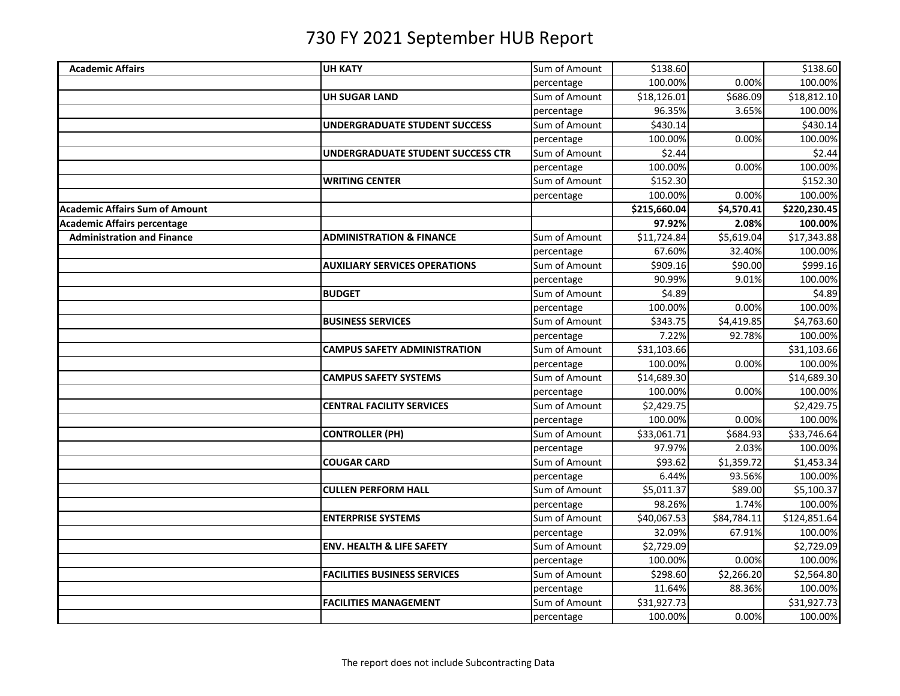| <b>Academic Affairs</b><br>Sum of Amount<br>\$138.60<br>100.00%<br>0.00%<br>100.00%<br>percentage<br>Sum of Amount<br>\$18,126.01<br>\$686.09<br>\$18,812.10<br><b>UH SUGAR LAND</b><br>96.35%<br>100.00%<br>3.65%<br>percentage<br>Sum of Amount<br>\$430.14<br>\$430.14<br><b>UNDERGRADUATE STUDENT SUCCESS</b><br>100.00%<br>0.00%<br>100.00%<br>percentage<br>\$2.44<br>Sum of Amount<br>\$2.44<br>UNDERGRADUATE STUDENT SUCCESS CTR<br>100.00%<br>0.00%<br>100.00%<br>percentage<br>Sum of Amount<br>\$152.30<br>\$152.30<br><b>WRITING CENTER</b><br>100.00%<br>0.00%<br>100.00%<br>percentage<br>\$215,660.04<br>\$4,570.41<br>\$220,230.45<br><b>Academic Affairs Sum of Amount</b><br>97.92%<br>2.08%<br>100.00%<br><b>Administration and Finance</b><br>Sum of Amount<br>\$11,724.84<br>\$5,619.04<br>\$17,343.88<br><b>ADMINISTRATION &amp; FINANCE</b><br>67.60%<br>100.00%<br>32.40%<br>percentage<br>Sum of Amount<br>\$90.00<br><b>AUXILIARY SERVICES OPERATIONS</b><br>\$909.16<br>\$999.16<br>90.99%<br>9.01%<br>100.00%<br>percentage<br>\$4.89<br><b>BUDGET</b><br>Sum of Amount<br>\$4.89<br>100.00%<br>100.00%<br>0.00%<br>percentage<br>Sum of Amount<br>\$4,419.85<br>\$4,763.60<br><b>BUSINESS SERVICES</b><br>\$343.75<br>7.22%<br>92.78%<br>100.00%<br>percentage<br>Sum of Amount<br>\$31,103.66<br>\$31,103.66<br><b>CAMPUS SAFETY ADMINISTRATION</b><br>100.00%<br>0.00%<br>100.00%<br>percentage<br>Sum of Amount<br>\$14,689.30<br>\$14,689.30<br><b>CAMPUS SAFETY SYSTEMS</b><br>0.00%<br>100.00%<br>100.00%<br>percentage<br>\$2,429.75<br><b>CENTRAL FACILITY SERVICES</b><br>Sum of Amount<br>\$2,429.75<br>100.00%<br>0.00%<br>100.00%<br>percentage<br>Sum of Amount<br>\$33,061.71<br>\$684.93<br>\$33,746.64<br><b>CONTROLLER (PH)</b><br>97.97%<br>2.03%<br>100.00%<br>percentage<br>Sum of Amount<br>\$1,359.72<br>\$1,453.34<br><b>COUGAR CARD</b><br>\$93.62<br>6.44%<br>93.56%<br>100.00%<br>percentage<br>\$5,100.37<br>Sum of Amount<br>\$5,011.37<br>\$89.00<br><b>CULLEN PERFORM HALL</b><br>1.74%<br>100.00%<br>98.26%<br>percentage<br>Sum of Amount<br>\$40,067.53<br>\$84,784.11<br>\$124,851.64<br><b>ENTERPRISE SYSTEMS</b><br>32.09%<br>67.91%<br>100.00%<br>percentage<br>Sum of Amount<br>\$2,729.09<br><b>ENV. HEALTH &amp; LIFE SAFETY</b><br>\$2,729.09<br>0.00%<br>100.00%<br>100.00%<br>percentage<br>Sum of Amount<br>\$298.60<br>\$2,564.80<br><b>FACILITIES BUSINESS SERVICES</b><br>\$2,266.20<br>11.64%<br>88.36%<br>100.00%<br>percentage<br>Sum of Amount<br>\$31,927.73<br>\$31,927.73<br><b>FACILITIES MANAGEMENT</b><br>100.00%<br>0.00%<br>100.00% |                                    |                |            |  |          |
|-----------------------------------------------------------------------------------------------------------------------------------------------------------------------------------------------------------------------------------------------------------------------------------------------------------------------------------------------------------------------------------------------------------------------------------------------------------------------------------------------------------------------------------------------------------------------------------------------------------------------------------------------------------------------------------------------------------------------------------------------------------------------------------------------------------------------------------------------------------------------------------------------------------------------------------------------------------------------------------------------------------------------------------------------------------------------------------------------------------------------------------------------------------------------------------------------------------------------------------------------------------------------------------------------------------------------------------------------------------------------------------------------------------------------------------------------------------------------------------------------------------------------------------------------------------------------------------------------------------------------------------------------------------------------------------------------------------------------------------------------------------------------------------------------------------------------------------------------------------------------------------------------------------------------------------------------------------------------------------------------------------------------------------------------------------------------------------------------------------------------------------------------------------------------------------------------------------------------------------------------------------------------------------------------------------------------------------------------------------------------------------------------------------------------------------------------------------------------------------------------------------------------------------------------------------------------------------------------------------------------------|------------------------------------|----------------|------------|--|----------|
|                                                                                                                                                                                                                                                                                                                                                                                                                                                                                                                                                                                                                                                                                                                                                                                                                                                                                                                                                                                                                                                                                                                                                                                                                                                                                                                                                                                                                                                                                                                                                                                                                                                                                                                                                                                                                                                                                                                                                                                                                                                                                                                                                                                                                                                                                                                                                                                                                                                                                                                                                                                                                             |                                    | <b>UH KATY</b> |            |  | \$138.60 |
|                                                                                                                                                                                                                                                                                                                                                                                                                                                                                                                                                                                                                                                                                                                                                                                                                                                                                                                                                                                                                                                                                                                                                                                                                                                                                                                                                                                                                                                                                                                                                                                                                                                                                                                                                                                                                                                                                                                                                                                                                                                                                                                                                                                                                                                                                                                                                                                                                                                                                                                                                                                                                             |                                    |                |            |  |          |
|                                                                                                                                                                                                                                                                                                                                                                                                                                                                                                                                                                                                                                                                                                                                                                                                                                                                                                                                                                                                                                                                                                                                                                                                                                                                                                                                                                                                                                                                                                                                                                                                                                                                                                                                                                                                                                                                                                                                                                                                                                                                                                                                                                                                                                                                                                                                                                                                                                                                                                                                                                                                                             |                                    |                |            |  |          |
|                                                                                                                                                                                                                                                                                                                                                                                                                                                                                                                                                                                                                                                                                                                                                                                                                                                                                                                                                                                                                                                                                                                                                                                                                                                                                                                                                                                                                                                                                                                                                                                                                                                                                                                                                                                                                                                                                                                                                                                                                                                                                                                                                                                                                                                                                                                                                                                                                                                                                                                                                                                                                             |                                    |                |            |  |          |
|                                                                                                                                                                                                                                                                                                                                                                                                                                                                                                                                                                                                                                                                                                                                                                                                                                                                                                                                                                                                                                                                                                                                                                                                                                                                                                                                                                                                                                                                                                                                                                                                                                                                                                                                                                                                                                                                                                                                                                                                                                                                                                                                                                                                                                                                                                                                                                                                                                                                                                                                                                                                                             |                                    |                |            |  |          |
|                                                                                                                                                                                                                                                                                                                                                                                                                                                                                                                                                                                                                                                                                                                                                                                                                                                                                                                                                                                                                                                                                                                                                                                                                                                                                                                                                                                                                                                                                                                                                                                                                                                                                                                                                                                                                                                                                                                                                                                                                                                                                                                                                                                                                                                                                                                                                                                                                                                                                                                                                                                                                             |                                    |                |            |  |          |
|                                                                                                                                                                                                                                                                                                                                                                                                                                                                                                                                                                                                                                                                                                                                                                                                                                                                                                                                                                                                                                                                                                                                                                                                                                                                                                                                                                                                                                                                                                                                                                                                                                                                                                                                                                                                                                                                                                                                                                                                                                                                                                                                                                                                                                                                                                                                                                                                                                                                                                                                                                                                                             |                                    |                |            |  |          |
|                                                                                                                                                                                                                                                                                                                                                                                                                                                                                                                                                                                                                                                                                                                                                                                                                                                                                                                                                                                                                                                                                                                                                                                                                                                                                                                                                                                                                                                                                                                                                                                                                                                                                                                                                                                                                                                                                                                                                                                                                                                                                                                                                                                                                                                                                                                                                                                                                                                                                                                                                                                                                             |                                    |                |            |  |          |
|                                                                                                                                                                                                                                                                                                                                                                                                                                                                                                                                                                                                                                                                                                                                                                                                                                                                                                                                                                                                                                                                                                                                                                                                                                                                                                                                                                                                                                                                                                                                                                                                                                                                                                                                                                                                                                                                                                                                                                                                                                                                                                                                                                                                                                                                                                                                                                                                                                                                                                                                                                                                                             |                                    |                |            |  |          |
|                                                                                                                                                                                                                                                                                                                                                                                                                                                                                                                                                                                                                                                                                                                                                                                                                                                                                                                                                                                                                                                                                                                                                                                                                                                                                                                                                                                                                                                                                                                                                                                                                                                                                                                                                                                                                                                                                                                                                                                                                                                                                                                                                                                                                                                                                                                                                                                                                                                                                                                                                                                                                             |                                    |                |            |  |          |
|                                                                                                                                                                                                                                                                                                                                                                                                                                                                                                                                                                                                                                                                                                                                                                                                                                                                                                                                                                                                                                                                                                                                                                                                                                                                                                                                                                                                                                                                                                                                                                                                                                                                                                                                                                                                                                                                                                                                                                                                                                                                                                                                                                                                                                                                                                                                                                                                                                                                                                                                                                                                                             |                                    |                |            |  |          |
|                                                                                                                                                                                                                                                                                                                                                                                                                                                                                                                                                                                                                                                                                                                                                                                                                                                                                                                                                                                                                                                                                                                                                                                                                                                                                                                                                                                                                                                                                                                                                                                                                                                                                                                                                                                                                                                                                                                                                                                                                                                                                                                                                                                                                                                                                                                                                                                                                                                                                                                                                                                                                             | <b>Academic Affairs percentage</b> |                |            |  |          |
|                                                                                                                                                                                                                                                                                                                                                                                                                                                                                                                                                                                                                                                                                                                                                                                                                                                                                                                                                                                                                                                                                                                                                                                                                                                                                                                                                                                                                                                                                                                                                                                                                                                                                                                                                                                                                                                                                                                                                                                                                                                                                                                                                                                                                                                                                                                                                                                                                                                                                                                                                                                                                             |                                    |                |            |  |          |
|                                                                                                                                                                                                                                                                                                                                                                                                                                                                                                                                                                                                                                                                                                                                                                                                                                                                                                                                                                                                                                                                                                                                                                                                                                                                                                                                                                                                                                                                                                                                                                                                                                                                                                                                                                                                                                                                                                                                                                                                                                                                                                                                                                                                                                                                                                                                                                                                                                                                                                                                                                                                                             |                                    |                |            |  |          |
|                                                                                                                                                                                                                                                                                                                                                                                                                                                                                                                                                                                                                                                                                                                                                                                                                                                                                                                                                                                                                                                                                                                                                                                                                                                                                                                                                                                                                                                                                                                                                                                                                                                                                                                                                                                                                                                                                                                                                                                                                                                                                                                                                                                                                                                                                                                                                                                                                                                                                                                                                                                                                             |                                    |                |            |  |          |
|                                                                                                                                                                                                                                                                                                                                                                                                                                                                                                                                                                                                                                                                                                                                                                                                                                                                                                                                                                                                                                                                                                                                                                                                                                                                                                                                                                                                                                                                                                                                                                                                                                                                                                                                                                                                                                                                                                                                                                                                                                                                                                                                                                                                                                                                                                                                                                                                                                                                                                                                                                                                                             |                                    |                |            |  |          |
|                                                                                                                                                                                                                                                                                                                                                                                                                                                                                                                                                                                                                                                                                                                                                                                                                                                                                                                                                                                                                                                                                                                                                                                                                                                                                                                                                                                                                                                                                                                                                                                                                                                                                                                                                                                                                                                                                                                                                                                                                                                                                                                                                                                                                                                                                                                                                                                                                                                                                                                                                                                                                             |                                    |                |            |  |          |
|                                                                                                                                                                                                                                                                                                                                                                                                                                                                                                                                                                                                                                                                                                                                                                                                                                                                                                                                                                                                                                                                                                                                                                                                                                                                                                                                                                                                                                                                                                                                                                                                                                                                                                                                                                                                                                                                                                                                                                                                                                                                                                                                                                                                                                                                                                                                                                                                                                                                                                                                                                                                                             |                                    |                |            |  |          |
|                                                                                                                                                                                                                                                                                                                                                                                                                                                                                                                                                                                                                                                                                                                                                                                                                                                                                                                                                                                                                                                                                                                                                                                                                                                                                                                                                                                                                                                                                                                                                                                                                                                                                                                                                                                                                                                                                                                                                                                                                                                                                                                                                                                                                                                                                                                                                                                                                                                                                                                                                                                                                             |                                    |                |            |  |          |
|                                                                                                                                                                                                                                                                                                                                                                                                                                                                                                                                                                                                                                                                                                                                                                                                                                                                                                                                                                                                                                                                                                                                                                                                                                                                                                                                                                                                                                                                                                                                                                                                                                                                                                                                                                                                                                                                                                                                                                                                                                                                                                                                                                                                                                                                                                                                                                                                                                                                                                                                                                                                                             |                                    |                |            |  |          |
|                                                                                                                                                                                                                                                                                                                                                                                                                                                                                                                                                                                                                                                                                                                                                                                                                                                                                                                                                                                                                                                                                                                                                                                                                                                                                                                                                                                                                                                                                                                                                                                                                                                                                                                                                                                                                                                                                                                                                                                                                                                                                                                                                                                                                                                                                                                                                                                                                                                                                                                                                                                                                             |                                    |                |            |  |          |
|                                                                                                                                                                                                                                                                                                                                                                                                                                                                                                                                                                                                                                                                                                                                                                                                                                                                                                                                                                                                                                                                                                                                                                                                                                                                                                                                                                                                                                                                                                                                                                                                                                                                                                                                                                                                                                                                                                                                                                                                                                                                                                                                                                                                                                                                                                                                                                                                                                                                                                                                                                                                                             |                                    |                |            |  |          |
|                                                                                                                                                                                                                                                                                                                                                                                                                                                                                                                                                                                                                                                                                                                                                                                                                                                                                                                                                                                                                                                                                                                                                                                                                                                                                                                                                                                                                                                                                                                                                                                                                                                                                                                                                                                                                                                                                                                                                                                                                                                                                                                                                                                                                                                                                                                                                                                                                                                                                                                                                                                                                             |                                    |                |            |  |          |
|                                                                                                                                                                                                                                                                                                                                                                                                                                                                                                                                                                                                                                                                                                                                                                                                                                                                                                                                                                                                                                                                                                                                                                                                                                                                                                                                                                                                                                                                                                                                                                                                                                                                                                                                                                                                                                                                                                                                                                                                                                                                                                                                                                                                                                                                                                                                                                                                                                                                                                                                                                                                                             |                                    |                |            |  |          |
|                                                                                                                                                                                                                                                                                                                                                                                                                                                                                                                                                                                                                                                                                                                                                                                                                                                                                                                                                                                                                                                                                                                                                                                                                                                                                                                                                                                                                                                                                                                                                                                                                                                                                                                                                                                                                                                                                                                                                                                                                                                                                                                                                                                                                                                                                                                                                                                                                                                                                                                                                                                                                             |                                    |                |            |  |          |
|                                                                                                                                                                                                                                                                                                                                                                                                                                                                                                                                                                                                                                                                                                                                                                                                                                                                                                                                                                                                                                                                                                                                                                                                                                                                                                                                                                                                                                                                                                                                                                                                                                                                                                                                                                                                                                                                                                                                                                                                                                                                                                                                                                                                                                                                                                                                                                                                                                                                                                                                                                                                                             |                                    |                |            |  |          |
|                                                                                                                                                                                                                                                                                                                                                                                                                                                                                                                                                                                                                                                                                                                                                                                                                                                                                                                                                                                                                                                                                                                                                                                                                                                                                                                                                                                                                                                                                                                                                                                                                                                                                                                                                                                                                                                                                                                                                                                                                                                                                                                                                                                                                                                                                                                                                                                                                                                                                                                                                                                                                             |                                    |                |            |  |          |
|                                                                                                                                                                                                                                                                                                                                                                                                                                                                                                                                                                                                                                                                                                                                                                                                                                                                                                                                                                                                                                                                                                                                                                                                                                                                                                                                                                                                                                                                                                                                                                                                                                                                                                                                                                                                                                                                                                                                                                                                                                                                                                                                                                                                                                                                                                                                                                                                                                                                                                                                                                                                                             |                                    |                |            |  |          |
|                                                                                                                                                                                                                                                                                                                                                                                                                                                                                                                                                                                                                                                                                                                                                                                                                                                                                                                                                                                                                                                                                                                                                                                                                                                                                                                                                                                                                                                                                                                                                                                                                                                                                                                                                                                                                                                                                                                                                                                                                                                                                                                                                                                                                                                                                                                                                                                                                                                                                                                                                                                                                             |                                    |                |            |  |          |
|                                                                                                                                                                                                                                                                                                                                                                                                                                                                                                                                                                                                                                                                                                                                                                                                                                                                                                                                                                                                                                                                                                                                                                                                                                                                                                                                                                                                                                                                                                                                                                                                                                                                                                                                                                                                                                                                                                                                                                                                                                                                                                                                                                                                                                                                                                                                                                                                                                                                                                                                                                                                                             |                                    |                |            |  |          |
|                                                                                                                                                                                                                                                                                                                                                                                                                                                                                                                                                                                                                                                                                                                                                                                                                                                                                                                                                                                                                                                                                                                                                                                                                                                                                                                                                                                                                                                                                                                                                                                                                                                                                                                                                                                                                                                                                                                                                                                                                                                                                                                                                                                                                                                                                                                                                                                                                                                                                                                                                                                                                             |                                    |                |            |  |          |
|                                                                                                                                                                                                                                                                                                                                                                                                                                                                                                                                                                                                                                                                                                                                                                                                                                                                                                                                                                                                                                                                                                                                                                                                                                                                                                                                                                                                                                                                                                                                                                                                                                                                                                                                                                                                                                                                                                                                                                                                                                                                                                                                                                                                                                                                                                                                                                                                                                                                                                                                                                                                                             |                                    |                |            |  |          |
|                                                                                                                                                                                                                                                                                                                                                                                                                                                                                                                                                                                                                                                                                                                                                                                                                                                                                                                                                                                                                                                                                                                                                                                                                                                                                                                                                                                                                                                                                                                                                                                                                                                                                                                                                                                                                                                                                                                                                                                                                                                                                                                                                                                                                                                                                                                                                                                                                                                                                                                                                                                                                             |                                    |                |            |  |          |
|                                                                                                                                                                                                                                                                                                                                                                                                                                                                                                                                                                                                                                                                                                                                                                                                                                                                                                                                                                                                                                                                                                                                                                                                                                                                                                                                                                                                                                                                                                                                                                                                                                                                                                                                                                                                                                                                                                                                                                                                                                                                                                                                                                                                                                                                                                                                                                                                                                                                                                                                                                                                                             |                                    |                |            |  |          |
|                                                                                                                                                                                                                                                                                                                                                                                                                                                                                                                                                                                                                                                                                                                                                                                                                                                                                                                                                                                                                                                                                                                                                                                                                                                                                                                                                                                                                                                                                                                                                                                                                                                                                                                                                                                                                                                                                                                                                                                                                                                                                                                                                                                                                                                                                                                                                                                                                                                                                                                                                                                                                             |                                    |                |            |  |          |
|                                                                                                                                                                                                                                                                                                                                                                                                                                                                                                                                                                                                                                                                                                                                                                                                                                                                                                                                                                                                                                                                                                                                                                                                                                                                                                                                                                                                                                                                                                                                                                                                                                                                                                                                                                                                                                                                                                                                                                                                                                                                                                                                                                                                                                                                                                                                                                                                                                                                                                                                                                                                                             |                                    |                |            |  |          |
|                                                                                                                                                                                                                                                                                                                                                                                                                                                                                                                                                                                                                                                                                                                                                                                                                                                                                                                                                                                                                                                                                                                                                                                                                                                                                                                                                                                                                                                                                                                                                                                                                                                                                                                                                                                                                                                                                                                                                                                                                                                                                                                                                                                                                                                                                                                                                                                                                                                                                                                                                                                                                             |                                    |                |            |  |          |
|                                                                                                                                                                                                                                                                                                                                                                                                                                                                                                                                                                                                                                                                                                                                                                                                                                                                                                                                                                                                                                                                                                                                                                                                                                                                                                                                                                                                                                                                                                                                                                                                                                                                                                                                                                                                                                                                                                                                                                                                                                                                                                                                                                                                                                                                                                                                                                                                                                                                                                                                                                                                                             |                                    |                |            |  |          |
|                                                                                                                                                                                                                                                                                                                                                                                                                                                                                                                                                                                                                                                                                                                                                                                                                                                                                                                                                                                                                                                                                                                                                                                                                                                                                                                                                                                                                                                                                                                                                                                                                                                                                                                                                                                                                                                                                                                                                                                                                                                                                                                                                                                                                                                                                                                                                                                                                                                                                                                                                                                                                             |                                    |                |            |  |          |
|                                                                                                                                                                                                                                                                                                                                                                                                                                                                                                                                                                                                                                                                                                                                                                                                                                                                                                                                                                                                                                                                                                                                                                                                                                                                                                                                                                                                                                                                                                                                                                                                                                                                                                                                                                                                                                                                                                                                                                                                                                                                                                                                                                                                                                                                                                                                                                                                                                                                                                                                                                                                                             |                                    |                | percentage |  |          |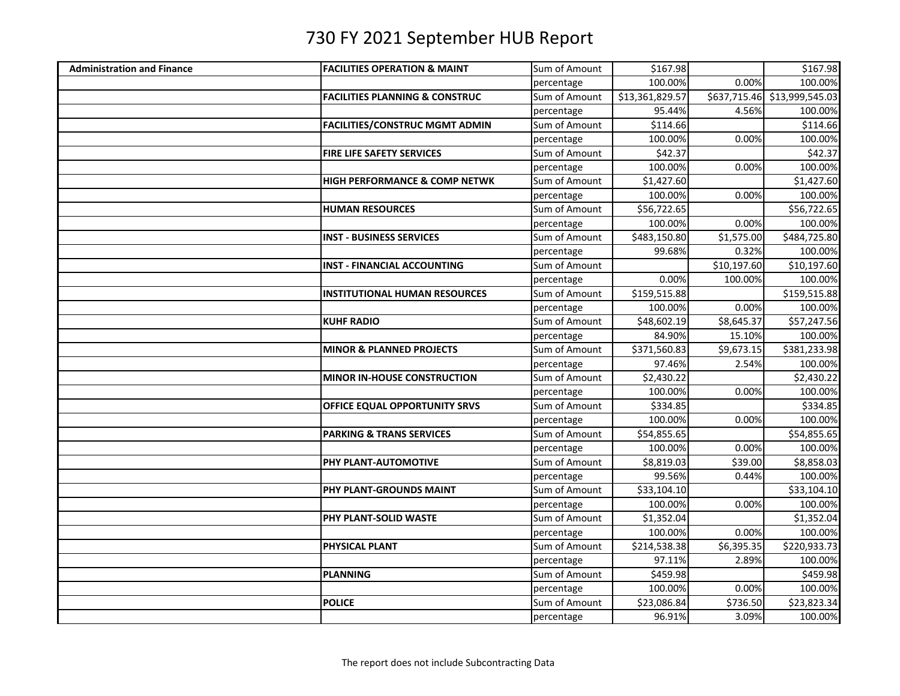| <b>Administration and Finance</b> | <b>FACILITIES OPERATION &amp; MAINT</b>   | Sum of Amount | \$167.98        |             | \$167.98                     |
|-----------------------------------|-------------------------------------------|---------------|-----------------|-------------|------------------------------|
|                                   |                                           | percentage    | 100.00%         | 0.00%       | 100.00%                      |
|                                   | <b>FACILITIES PLANNING &amp; CONSTRUC</b> | Sum of Amount | \$13,361,829.57 |             | \$637,715.46 \$13,999,545.03 |
|                                   |                                           | percentage    | 95.44%          | 4.56%       | 100.00%                      |
|                                   | <b>FACILITIES/CONSTRUC MGMT ADMIN</b>     | Sum of Amount | \$114.66        |             | \$114.66                     |
|                                   |                                           | percentage    | 100.00%         | 0.00%       | 100.00%                      |
|                                   | <b>FIRE LIFE SAFETY SERVICES</b>          | Sum of Amount | \$42.37         |             | \$42.37                      |
|                                   |                                           | percentage    | 100.00%         | 0.00%       | 100.00%                      |
|                                   | <b>HIGH PERFORMANCE &amp; COMP NETWK</b>  | Sum of Amount | \$1,427.60      |             | \$1,427.60                   |
|                                   |                                           | percentage    | 100.00%         | 0.00%       | 100.00%                      |
|                                   | <b>HUMAN RESOURCES</b>                    | Sum of Amount | \$56,722.65     |             | \$56,722.65                  |
|                                   |                                           | percentage    | 100.00%         | 0.00%       | 100.00%                      |
|                                   | <b>INST - BUSINESS SERVICES</b>           | Sum of Amount | \$483,150.80    | \$1,575.00  | \$484,725.80                 |
|                                   |                                           | percentage    | 99.68%          | 0.32%       | 100.00%                      |
|                                   | <b>INST - FINANCIAL ACCOUNTING</b>        | Sum of Amount |                 | \$10,197.60 | \$10,197.60                  |
|                                   |                                           | percentage    | 0.00%           | 100.00%     | 100.00%                      |
|                                   | <b>INSTITUTIONAL HUMAN RESOURCES</b>      | Sum of Amount | \$159,515.88    |             | \$159,515.88                 |
|                                   |                                           | percentage    | 100.00%         | 0.00%       | 100.00%                      |
|                                   | <b>KUHF RADIO</b>                         | Sum of Amount | \$48,602.19     | \$8,645.37  | \$57,247.56                  |
|                                   |                                           | percentage    | 84.90%          | 15.10%      | 100.00%                      |
|                                   | <b>MINOR &amp; PLANNED PROJECTS</b>       | Sum of Amount | \$371,560.83    | \$9,673.15  | \$381,233.98                 |
|                                   |                                           | percentage    | 97.46%          | 2.54%       | 100.00%                      |
|                                   | <b>MINOR IN-HOUSE CONSTRUCTION</b>        | Sum of Amount | \$2,430.22      |             | \$2,430.22                   |
|                                   |                                           | percentage    | 100.00%         | 0.00%       | 100.00%                      |
|                                   | OFFICE EQUAL OPPORTUNITY SRVS             | Sum of Amount | \$334.85        |             | \$334.85                     |
|                                   |                                           | percentage    | 100.00%         | 0.00%       | 100.00%                      |
|                                   | <b>PARKING &amp; TRANS SERVICES</b>       | Sum of Amount | \$54,855.65     |             | \$54,855.65                  |
|                                   |                                           | percentage    | 100.00%         | 0.00%       | 100.00%                      |
|                                   | PHY PLANT-AUTOMOTIVE                      | Sum of Amount | \$8,819.03      | \$39.00     | \$8,858.03                   |
|                                   |                                           | percentage    | 99.56%          | 0.44%       | 100.00%                      |
|                                   | PHY PLANT-GROUNDS MAINT                   | Sum of Amount | \$33,104.10     |             | \$33,104.10                  |
|                                   |                                           | percentage    | 100.00%         | 0.00%       | 100.00%                      |
|                                   | PHY PLANT-SOLID WASTE                     | Sum of Amount | \$1,352.04      |             | \$1,352.04                   |
|                                   |                                           | percentage    | 100.00%         | 0.00%       | 100.00%                      |
|                                   | PHYSICAL PLANT                            | Sum of Amount | \$214,538.38    | \$6,395.35  | \$220,933.73                 |
|                                   |                                           | percentage    | 97.11%          | 2.89%       | 100.00%                      |
|                                   | <b>PLANNING</b>                           | Sum of Amount | \$459.98        |             | \$459.98                     |
|                                   |                                           | percentage    | 100.00%         | 0.00%       | 100.00%                      |
|                                   | <b>POLICE</b>                             | Sum of Amount | \$23,086.84     | \$736.50    | \$23,823.34                  |
|                                   |                                           | percentage    | 96.91%          | 3.09%       | 100.00%                      |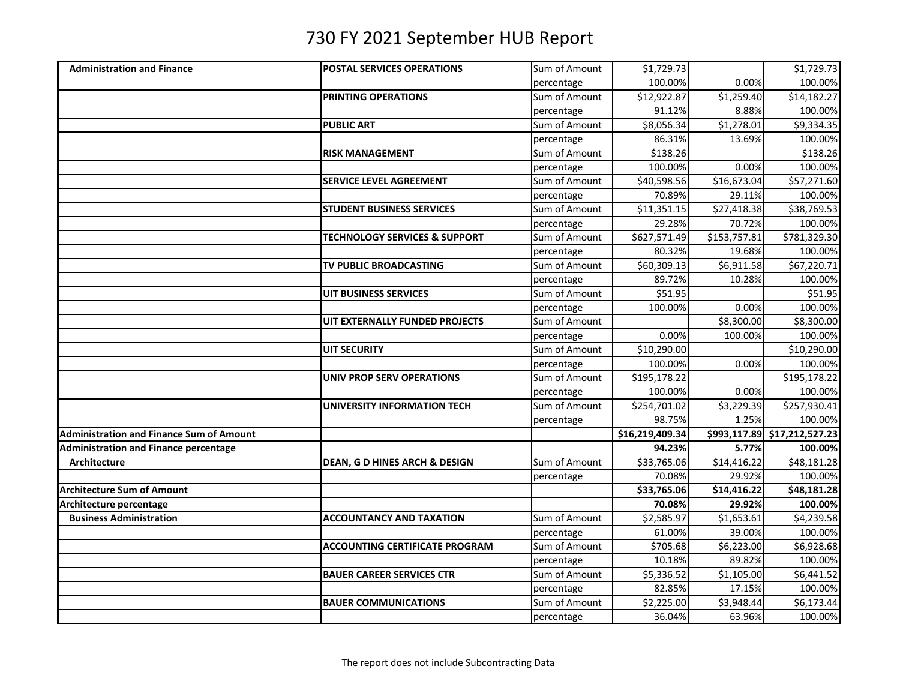| <b>Administration and Finance</b><br><b>POSTAL SERVICES OPERATIONS</b><br>100.00%<br>100.00%<br>0.00%<br>percentage<br>Sum of Amount<br><b>PRINTING OPERATIONS</b><br>\$12,922.87<br>\$1,259.40<br>\$14,182.27<br>100.00%<br>91.12%<br>8.88%<br>percentage<br>Sum of Amount<br>\$8,056.34<br>\$1,278.01<br>\$9,334.35<br><b>PUBLIC ART</b><br>100.00%<br>86.31%<br>13.69%<br>percentage<br>Sum of Amount<br>\$138.26<br><b>RISK MANAGEMENT</b><br>\$138.26<br>0.00%<br>100.00%<br>100.00%<br>percentage<br>Sum of Amount<br>\$16,673.04<br>\$57,271.60<br><b>SERVICE LEVEL AGREEMENT</b><br>\$40,598.56<br>70.89%<br>29.11%<br>100.00%<br>percentage<br>$\overline{$}27,418.38$<br>Sum of Amount<br>\$11,351.15<br>\$38,769.53<br><b>STUDENT BUSINESS SERVICES</b><br>70.72%<br>29.28%<br>100.00%<br>percentage<br>Sum of Amount<br>\$627,571.49<br>\$153,757.81<br>\$781,329.30<br><b>TECHNOLOGY SERVICES &amp; SUPPORT</b><br>80.32%<br>19.68%<br>100.00%<br>percentage<br>Sum of Amount<br>\$60,309.13<br>\$6,911.58<br>\$67,220.71<br>TV PUBLIC BROADCASTING<br>89.72%<br>10.28%<br>100.00%<br>percentage<br>Sum of Amount<br>\$51.95<br>551.95<br>UIT BUSINESS SERVICES<br>100.00%<br>0.00%<br>100.00%<br>percentage<br>Sum of Amount<br>UIT EXTERNALLY FUNDED PROJECTS<br>\$8,300.00<br>\$8,300.00<br>100.00%<br>0.00%<br>100.00%<br>percentage<br>Sum of Amount<br>\$10,290.00<br>\$10,290.00<br>UIT SECURITY<br>100.00%<br>0.00%<br>100.00%<br>percentage<br>Sum of Amount<br>\$195,178.22<br>\$195,178.22<br><b>UNIV PROP SERV OPERATIONS</b><br>100.00%<br>0.00%<br>100.00%<br>percentage<br>Sum of Amount<br>\$254,701.02<br>\$3,229.39<br>\$257,930.41<br>UNIVERSITY INFORMATION TECH<br>1.25%<br>100.00%<br>98.75%<br>percentage<br>$\overline{$16,219,409.34}$<br>\$993,117.89 \$17,212,527.23<br>94.23%<br>5.77%<br>100.00%<br><b>Administration and Finance percentage</b><br>Sum of Amount<br>\$14,416.22<br>\$48,181.28<br>\$33,765.06<br>Architecture<br>DEAN, G D HINES ARCH & DESIGN<br>70.08%<br>29.92%<br>100.00%<br>percentage<br>\$33,765.06<br>\$14,416.22<br>\$48,181.28<br>29.92%<br>100.00%<br>70.08%<br>Architecture percentage<br>\$2,585.97<br>\$4,239.58<br><b>Business Administration</b><br><b>ACCOUNTANCY AND TAXATION</b><br>Sum of Amount<br>\$1,653.61<br>61.00%<br>39.00%<br>100.00%<br>percentage<br>Sum of Amount<br>\$6,928.68<br><b>ACCOUNTING CERTIFICATE PROGRAM</b><br>\$705.68<br>\$6,223.00<br>89.82%<br>10.18%<br>100.00%<br>percentage<br>Sum of Amount<br>\$6,441.52<br><b>BAUER CAREER SERVICES CTR</b><br>\$5,336.52<br>\$1,105.00<br>82.85%<br>17.15%<br>100.00%<br>percentage<br>Sum of Amount<br>\$2,225.00<br>\$3,948.44<br>\$6,173.44<br><b>BAUER COMMUNICATIONS</b><br>36.04%<br>100.00%<br>63.96%<br>percentage |                                                 |               |            |            |
|------------------------------------------------------------------------------------------------------------------------------------------------------------------------------------------------------------------------------------------------------------------------------------------------------------------------------------------------------------------------------------------------------------------------------------------------------------------------------------------------------------------------------------------------------------------------------------------------------------------------------------------------------------------------------------------------------------------------------------------------------------------------------------------------------------------------------------------------------------------------------------------------------------------------------------------------------------------------------------------------------------------------------------------------------------------------------------------------------------------------------------------------------------------------------------------------------------------------------------------------------------------------------------------------------------------------------------------------------------------------------------------------------------------------------------------------------------------------------------------------------------------------------------------------------------------------------------------------------------------------------------------------------------------------------------------------------------------------------------------------------------------------------------------------------------------------------------------------------------------------------------------------------------------------------------------------------------------------------------------------------------------------------------------------------------------------------------------------------------------------------------------------------------------------------------------------------------------------------------------------------------------------------------------------------------------------------------------------------------------------------------------------------------------------------------------------------------------------------------------------------------------------------------------------------------------------------------------------------------------------------------------------------------------------------------------------------------------------------------------------------------------------------|-------------------------------------------------|---------------|------------|------------|
|                                                                                                                                                                                                                                                                                                                                                                                                                                                                                                                                                                                                                                                                                                                                                                                                                                                                                                                                                                                                                                                                                                                                                                                                                                                                                                                                                                                                                                                                                                                                                                                                                                                                                                                                                                                                                                                                                                                                                                                                                                                                                                                                                                                                                                                                                                                                                                                                                                                                                                                                                                                                                                                                                                                                                                              |                                                 | Sum of Amount | \$1,729.73 | \$1,729.73 |
|                                                                                                                                                                                                                                                                                                                                                                                                                                                                                                                                                                                                                                                                                                                                                                                                                                                                                                                                                                                                                                                                                                                                                                                                                                                                                                                                                                                                                                                                                                                                                                                                                                                                                                                                                                                                                                                                                                                                                                                                                                                                                                                                                                                                                                                                                                                                                                                                                                                                                                                                                                                                                                                                                                                                                                              |                                                 |               |            |            |
|                                                                                                                                                                                                                                                                                                                                                                                                                                                                                                                                                                                                                                                                                                                                                                                                                                                                                                                                                                                                                                                                                                                                                                                                                                                                                                                                                                                                                                                                                                                                                                                                                                                                                                                                                                                                                                                                                                                                                                                                                                                                                                                                                                                                                                                                                                                                                                                                                                                                                                                                                                                                                                                                                                                                                                              |                                                 |               |            |            |
|                                                                                                                                                                                                                                                                                                                                                                                                                                                                                                                                                                                                                                                                                                                                                                                                                                                                                                                                                                                                                                                                                                                                                                                                                                                                                                                                                                                                                                                                                                                                                                                                                                                                                                                                                                                                                                                                                                                                                                                                                                                                                                                                                                                                                                                                                                                                                                                                                                                                                                                                                                                                                                                                                                                                                                              |                                                 |               |            |            |
|                                                                                                                                                                                                                                                                                                                                                                                                                                                                                                                                                                                                                                                                                                                                                                                                                                                                                                                                                                                                                                                                                                                                                                                                                                                                                                                                                                                                                                                                                                                                                                                                                                                                                                                                                                                                                                                                                                                                                                                                                                                                                                                                                                                                                                                                                                                                                                                                                                                                                                                                                                                                                                                                                                                                                                              |                                                 |               |            |            |
|                                                                                                                                                                                                                                                                                                                                                                                                                                                                                                                                                                                                                                                                                                                                                                                                                                                                                                                                                                                                                                                                                                                                                                                                                                                                                                                                                                                                                                                                                                                                                                                                                                                                                                                                                                                                                                                                                                                                                                                                                                                                                                                                                                                                                                                                                                                                                                                                                                                                                                                                                                                                                                                                                                                                                                              |                                                 |               |            |            |
|                                                                                                                                                                                                                                                                                                                                                                                                                                                                                                                                                                                                                                                                                                                                                                                                                                                                                                                                                                                                                                                                                                                                                                                                                                                                                                                                                                                                                                                                                                                                                                                                                                                                                                                                                                                                                                                                                                                                                                                                                                                                                                                                                                                                                                                                                                                                                                                                                                                                                                                                                                                                                                                                                                                                                                              |                                                 |               |            |            |
|                                                                                                                                                                                                                                                                                                                                                                                                                                                                                                                                                                                                                                                                                                                                                                                                                                                                                                                                                                                                                                                                                                                                                                                                                                                                                                                                                                                                                                                                                                                                                                                                                                                                                                                                                                                                                                                                                                                                                                                                                                                                                                                                                                                                                                                                                                                                                                                                                                                                                                                                                                                                                                                                                                                                                                              |                                                 |               |            |            |
|                                                                                                                                                                                                                                                                                                                                                                                                                                                                                                                                                                                                                                                                                                                                                                                                                                                                                                                                                                                                                                                                                                                                                                                                                                                                                                                                                                                                                                                                                                                                                                                                                                                                                                                                                                                                                                                                                                                                                                                                                                                                                                                                                                                                                                                                                                                                                                                                                                                                                                                                                                                                                                                                                                                                                                              |                                                 |               |            |            |
|                                                                                                                                                                                                                                                                                                                                                                                                                                                                                                                                                                                                                                                                                                                                                                                                                                                                                                                                                                                                                                                                                                                                                                                                                                                                                                                                                                                                                                                                                                                                                                                                                                                                                                                                                                                                                                                                                                                                                                                                                                                                                                                                                                                                                                                                                                                                                                                                                                                                                                                                                                                                                                                                                                                                                                              |                                                 |               |            |            |
|                                                                                                                                                                                                                                                                                                                                                                                                                                                                                                                                                                                                                                                                                                                                                                                                                                                                                                                                                                                                                                                                                                                                                                                                                                                                                                                                                                                                                                                                                                                                                                                                                                                                                                                                                                                                                                                                                                                                                                                                                                                                                                                                                                                                                                                                                                                                                                                                                                                                                                                                                                                                                                                                                                                                                                              |                                                 |               |            |            |
|                                                                                                                                                                                                                                                                                                                                                                                                                                                                                                                                                                                                                                                                                                                                                                                                                                                                                                                                                                                                                                                                                                                                                                                                                                                                                                                                                                                                                                                                                                                                                                                                                                                                                                                                                                                                                                                                                                                                                                                                                                                                                                                                                                                                                                                                                                                                                                                                                                                                                                                                                                                                                                                                                                                                                                              |                                                 |               |            |            |
|                                                                                                                                                                                                                                                                                                                                                                                                                                                                                                                                                                                                                                                                                                                                                                                                                                                                                                                                                                                                                                                                                                                                                                                                                                                                                                                                                                                                                                                                                                                                                                                                                                                                                                                                                                                                                                                                                                                                                                                                                                                                                                                                                                                                                                                                                                                                                                                                                                                                                                                                                                                                                                                                                                                                                                              |                                                 |               |            |            |
|                                                                                                                                                                                                                                                                                                                                                                                                                                                                                                                                                                                                                                                                                                                                                                                                                                                                                                                                                                                                                                                                                                                                                                                                                                                                                                                                                                                                                                                                                                                                                                                                                                                                                                                                                                                                                                                                                                                                                                                                                                                                                                                                                                                                                                                                                                                                                                                                                                                                                                                                                                                                                                                                                                                                                                              |                                                 |               |            |            |
|                                                                                                                                                                                                                                                                                                                                                                                                                                                                                                                                                                                                                                                                                                                                                                                                                                                                                                                                                                                                                                                                                                                                                                                                                                                                                                                                                                                                                                                                                                                                                                                                                                                                                                                                                                                                                                                                                                                                                                                                                                                                                                                                                                                                                                                                                                                                                                                                                                                                                                                                                                                                                                                                                                                                                                              |                                                 |               |            |            |
|                                                                                                                                                                                                                                                                                                                                                                                                                                                                                                                                                                                                                                                                                                                                                                                                                                                                                                                                                                                                                                                                                                                                                                                                                                                                                                                                                                                                                                                                                                                                                                                                                                                                                                                                                                                                                                                                                                                                                                                                                                                                                                                                                                                                                                                                                                                                                                                                                                                                                                                                                                                                                                                                                                                                                                              |                                                 |               |            |            |
|                                                                                                                                                                                                                                                                                                                                                                                                                                                                                                                                                                                                                                                                                                                                                                                                                                                                                                                                                                                                                                                                                                                                                                                                                                                                                                                                                                                                                                                                                                                                                                                                                                                                                                                                                                                                                                                                                                                                                                                                                                                                                                                                                                                                                                                                                                                                                                                                                                                                                                                                                                                                                                                                                                                                                                              |                                                 |               |            |            |
|                                                                                                                                                                                                                                                                                                                                                                                                                                                                                                                                                                                                                                                                                                                                                                                                                                                                                                                                                                                                                                                                                                                                                                                                                                                                                                                                                                                                                                                                                                                                                                                                                                                                                                                                                                                                                                                                                                                                                                                                                                                                                                                                                                                                                                                                                                                                                                                                                                                                                                                                                                                                                                                                                                                                                                              |                                                 |               |            |            |
|                                                                                                                                                                                                                                                                                                                                                                                                                                                                                                                                                                                                                                                                                                                                                                                                                                                                                                                                                                                                                                                                                                                                                                                                                                                                                                                                                                                                                                                                                                                                                                                                                                                                                                                                                                                                                                                                                                                                                                                                                                                                                                                                                                                                                                                                                                                                                                                                                                                                                                                                                                                                                                                                                                                                                                              |                                                 |               |            |            |
|                                                                                                                                                                                                                                                                                                                                                                                                                                                                                                                                                                                                                                                                                                                                                                                                                                                                                                                                                                                                                                                                                                                                                                                                                                                                                                                                                                                                                                                                                                                                                                                                                                                                                                                                                                                                                                                                                                                                                                                                                                                                                                                                                                                                                                                                                                                                                                                                                                                                                                                                                                                                                                                                                                                                                                              |                                                 |               |            |            |
|                                                                                                                                                                                                                                                                                                                                                                                                                                                                                                                                                                                                                                                                                                                                                                                                                                                                                                                                                                                                                                                                                                                                                                                                                                                                                                                                                                                                                                                                                                                                                                                                                                                                                                                                                                                                                                                                                                                                                                                                                                                                                                                                                                                                                                                                                                                                                                                                                                                                                                                                                                                                                                                                                                                                                                              |                                                 |               |            |            |
|                                                                                                                                                                                                                                                                                                                                                                                                                                                                                                                                                                                                                                                                                                                                                                                                                                                                                                                                                                                                                                                                                                                                                                                                                                                                                                                                                                                                                                                                                                                                                                                                                                                                                                                                                                                                                                                                                                                                                                                                                                                                                                                                                                                                                                                                                                                                                                                                                                                                                                                                                                                                                                                                                                                                                                              |                                                 |               |            |            |
|                                                                                                                                                                                                                                                                                                                                                                                                                                                                                                                                                                                                                                                                                                                                                                                                                                                                                                                                                                                                                                                                                                                                                                                                                                                                                                                                                                                                                                                                                                                                                                                                                                                                                                                                                                                                                                                                                                                                                                                                                                                                                                                                                                                                                                                                                                                                                                                                                                                                                                                                                                                                                                                                                                                                                                              |                                                 |               |            |            |
|                                                                                                                                                                                                                                                                                                                                                                                                                                                                                                                                                                                                                                                                                                                                                                                                                                                                                                                                                                                                                                                                                                                                                                                                                                                                                                                                                                                                                                                                                                                                                                                                                                                                                                                                                                                                                                                                                                                                                                                                                                                                                                                                                                                                                                                                                                                                                                                                                                                                                                                                                                                                                                                                                                                                                                              |                                                 |               |            |            |
|                                                                                                                                                                                                                                                                                                                                                                                                                                                                                                                                                                                                                                                                                                                                                                                                                                                                                                                                                                                                                                                                                                                                                                                                                                                                                                                                                                                                                                                                                                                                                                                                                                                                                                                                                                                                                                                                                                                                                                                                                                                                                                                                                                                                                                                                                                                                                                                                                                                                                                                                                                                                                                                                                                                                                                              |                                                 |               |            |            |
|                                                                                                                                                                                                                                                                                                                                                                                                                                                                                                                                                                                                                                                                                                                                                                                                                                                                                                                                                                                                                                                                                                                                                                                                                                                                                                                                                                                                                                                                                                                                                                                                                                                                                                                                                                                                                                                                                                                                                                                                                                                                                                                                                                                                                                                                                                                                                                                                                                                                                                                                                                                                                                                                                                                                                                              |                                                 |               |            |            |
|                                                                                                                                                                                                                                                                                                                                                                                                                                                                                                                                                                                                                                                                                                                                                                                                                                                                                                                                                                                                                                                                                                                                                                                                                                                                                                                                                                                                                                                                                                                                                                                                                                                                                                                                                                                                                                                                                                                                                                                                                                                                                                                                                                                                                                                                                                                                                                                                                                                                                                                                                                                                                                                                                                                                                                              | <b>Administration and Finance Sum of Amount</b> |               |            |            |
|                                                                                                                                                                                                                                                                                                                                                                                                                                                                                                                                                                                                                                                                                                                                                                                                                                                                                                                                                                                                                                                                                                                                                                                                                                                                                                                                                                                                                                                                                                                                                                                                                                                                                                                                                                                                                                                                                                                                                                                                                                                                                                                                                                                                                                                                                                                                                                                                                                                                                                                                                                                                                                                                                                                                                                              |                                                 |               |            |            |
|                                                                                                                                                                                                                                                                                                                                                                                                                                                                                                                                                                                                                                                                                                                                                                                                                                                                                                                                                                                                                                                                                                                                                                                                                                                                                                                                                                                                                                                                                                                                                                                                                                                                                                                                                                                                                                                                                                                                                                                                                                                                                                                                                                                                                                                                                                                                                                                                                                                                                                                                                                                                                                                                                                                                                                              |                                                 |               |            |            |
|                                                                                                                                                                                                                                                                                                                                                                                                                                                                                                                                                                                                                                                                                                                                                                                                                                                                                                                                                                                                                                                                                                                                                                                                                                                                                                                                                                                                                                                                                                                                                                                                                                                                                                                                                                                                                                                                                                                                                                                                                                                                                                                                                                                                                                                                                                                                                                                                                                                                                                                                                                                                                                                                                                                                                                              |                                                 |               |            |            |
|                                                                                                                                                                                                                                                                                                                                                                                                                                                                                                                                                                                                                                                                                                                                                                                                                                                                                                                                                                                                                                                                                                                                                                                                                                                                                                                                                                                                                                                                                                                                                                                                                                                                                                                                                                                                                                                                                                                                                                                                                                                                                                                                                                                                                                                                                                                                                                                                                                                                                                                                                                                                                                                                                                                                                                              | <b>Architecture Sum of Amount</b>               |               |            |            |
|                                                                                                                                                                                                                                                                                                                                                                                                                                                                                                                                                                                                                                                                                                                                                                                                                                                                                                                                                                                                                                                                                                                                                                                                                                                                                                                                                                                                                                                                                                                                                                                                                                                                                                                                                                                                                                                                                                                                                                                                                                                                                                                                                                                                                                                                                                                                                                                                                                                                                                                                                                                                                                                                                                                                                                              |                                                 |               |            |            |
|                                                                                                                                                                                                                                                                                                                                                                                                                                                                                                                                                                                                                                                                                                                                                                                                                                                                                                                                                                                                                                                                                                                                                                                                                                                                                                                                                                                                                                                                                                                                                                                                                                                                                                                                                                                                                                                                                                                                                                                                                                                                                                                                                                                                                                                                                                                                                                                                                                                                                                                                                                                                                                                                                                                                                                              |                                                 |               |            |            |
|                                                                                                                                                                                                                                                                                                                                                                                                                                                                                                                                                                                                                                                                                                                                                                                                                                                                                                                                                                                                                                                                                                                                                                                                                                                                                                                                                                                                                                                                                                                                                                                                                                                                                                                                                                                                                                                                                                                                                                                                                                                                                                                                                                                                                                                                                                                                                                                                                                                                                                                                                                                                                                                                                                                                                                              |                                                 |               |            |            |
|                                                                                                                                                                                                                                                                                                                                                                                                                                                                                                                                                                                                                                                                                                                                                                                                                                                                                                                                                                                                                                                                                                                                                                                                                                                                                                                                                                                                                                                                                                                                                                                                                                                                                                                                                                                                                                                                                                                                                                                                                                                                                                                                                                                                                                                                                                                                                                                                                                                                                                                                                                                                                                                                                                                                                                              |                                                 |               |            |            |
|                                                                                                                                                                                                                                                                                                                                                                                                                                                                                                                                                                                                                                                                                                                                                                                                                                                                                                                                                                                                                                                                                                                                                                                                                                                                                                                                                                                                                                                                                                                                                                                                                                                                                                                                                                                                                                                                                                                                                                                                                                                                                                                                                                                                                                                                                                                                                                                                                                                                                                                                                                                                                                                                                                                                                                              |                                                 |               |            |            |
|                                                                                                                                                                                                                                                                                                                                                                                                                                                                                                                                                                                                                                                                                                                                                                                                                                                                                                                                                                                                                                                                                                                                                                                                                                                                                                                                                                                                                                                                                                                                                                                                                                                                                                                                                                                                                                                                                                                                                                                                                                                                                                                                                                                                                                                                                                                                                                                                                                                                                                                                                                                                                                                                                                                                                                              |                                                 |               |            |            |
|                                                                                                                                                                                                                                                                                                                                                                                                                                                                                                                                                                                                                                                                                                                                                                                                                                                                                                                                                                                                                                                                                                                                                                                                                                                                                                                                                                                                                                                                                                                                                                                                                                                                                                                                                                                                                                                                                                                                                                                                                                                                                                                                                                                                                                                                                                                                                                                                                                                                                                                                                                                                                                                                                                                                                                              |                                                 |               |            |            |
|                                                                                                                                                                                                                                                                                                                                                                                                                                                                                                                                                                                                                                                                                                                                                                                                                                                                                                                                                                                                                                                                                                                                                                                                                                                                                                                                                                                                                                                                                                                                                                                                                                                                                                                                                                                                                                                                                                                                                                                                                                                                                                                                                                                                                                                                                                                                                                                                                                                                                                                                                                                                                                                                                                                                                                              |                                                 |               |            |            |
|                                                                                                                                                                                                                                                                                                                                                                                                                                                                                                                                                                                                                                                                                                                                                                                                                                                                                                                                                                                                                                                                                                                                                                                                                                                                                                                                                                                                                                                                                                                                                                                                                                                                                                                                                                                                                                                                                                                                                                                                                                                                                                                                                                                                                                                                                                                                                                                                                                                                                                                                                                                                                                                                                                                                                                              |                                                 |               |            |            |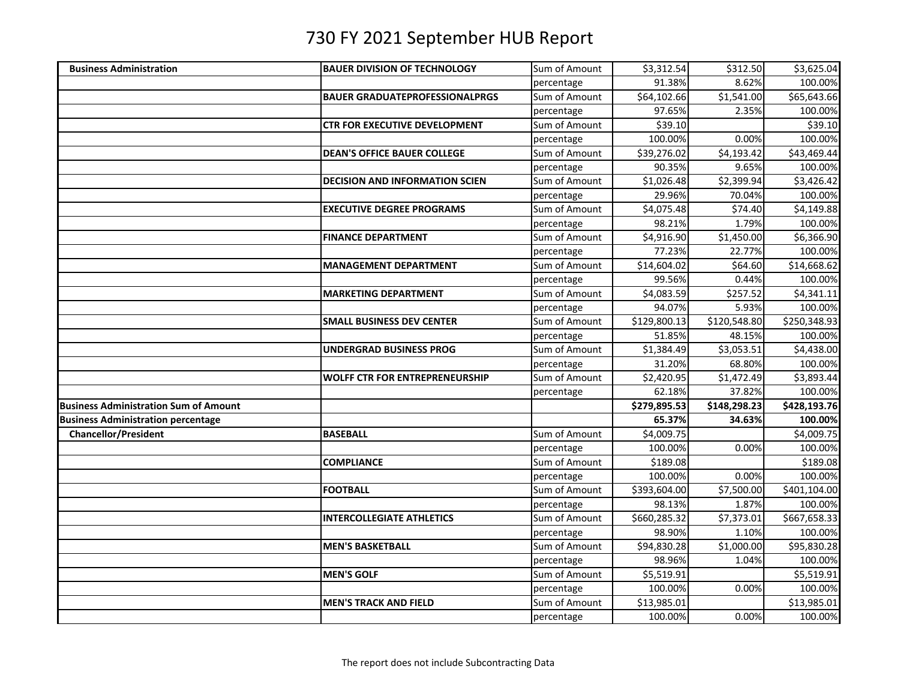| <b>Business Administration</b>               | <b>BAUER DIVISION OF TECHNOLOGY</b>   | Sum of Amount | \$3,312.54   | \$312.50     | \$3,625.04   |
|----------------------------------------------|---------------------------------------|---------------|--------------|--------------|--------------|
|                                              |                                       | percentage    | 91.38%       | 8.62%        | 100.00%      |
|                                              | <b>BAUER GRADUATEPROFESSIONALPRGS</b> | Sum of Amount | \$64,102.66  | \$1,541.00   | \$65,643.66  |
|                                              |                                       | percentage    | 97.65%       | 2.35%        | 100.00%      |
|                                              | <b>CTR FOR EXECUTIVE DEVELOPMENT</b>  | Sum of Amount | \$39.10      |              | \$39.10      |
|                                              |                                       | percentage    | 100.00%      | 0.00%        | 100.00%      |
|                                              | <b>DEAN'S OFFICE BAUER COLLEGE</b>    | Sum of Amount | \$39,276.02  | \$4,193.42   | \$43,469.44  |
|                                              |                                       | percentage    | 90.35%       | 9.65%        | 100.00%      |
|                                              | <b>DECISION AND INFORMATION SCIEN</b> | Sum of Amount | \$1,026.48   | \$2,399.94   | \$3,426.42   |
|                                              |                                       | percentage    | 29.96%       | 70.04%       | 100.00%      |
|                                              | <b>EXECUTIVE DEGREE PROGRAMS</b>      | Sum of Amount | \$4,075.48   | \$74.40      | \$4,149.88   |
|                                              |                                       | percentage    | 98.21%       | 1.79%        | 100.00%      |
|                                              | <b>FINANCE DEPARTMENT</b>             | Sum of Amount | \$4,916.90   | \$1,450.00   | \$6,366.90   |
|                                              |                                       | percentage    | 77.23%       | 22.77%       | 100.00%      |
|                                              | <b>MANAGEMENT DEPARTMENT</b>          | Sum of Amount | \$14,604.02  | \$64.60      | \$14,668.62  |
|                                              |                                       | percentage    | 99.56%       | 0.44%        | 100.00%      |
|                                              | <b>MARKETING DEPARTMENT</b>           | Sum of Amount | \$4,083.59   | \$257.52     | \$4,341.11   |
|                                              |                                       | percentage    | 94.07%       | 5.93%        | 100.00%      |
|                                              | <b>SMALL BUSINESS DEV CENTER</b>      | Sum of Amount | \$129,800.13 | \$120,548.80 | \$250,348.93 |
|                                              |                                       | percentage    | 51.85%       | 48.15%       | 100.00%      |
|                                              | <b>UNDERGRAD BUSINESS PROG</b>        | Sum of Amount | \$1,384.49   | \$3,053.51   | \$4,438.00   |
|                                              |                                       | percentage    | 31.20%       | 68.80%       | 100.00%      |
|                                              | <b>WOLFF CTR FOR ENTREPRENEURSHIP</b> | Sum of Amount | \$2,420.95   | \$1,472.49   | \$3,893.44   |
|                                              |                                       | percentage    | 62.18%       | 37.82%       | 100.00%      |
| <b>Business Administration Sum of Amount</b> |                                       |               | \$279,895.53 | \$148,298.23 | \$428,193.76 |
| <b>Business Administration percentage</b>    |                                       |               | 65.37%       | 34.63%       | 100.00%      |
| <b>Chancellor/President</b>                  | <b>BASEBALL</b>                       | Sum of Amount | \$4,009.75   |              | \$4,009.75   |
|                                              |                                       | percentage    | 100.00%      | 0.00%        | 100.00%      |
|                                              | <b>COMPLIANCE</b>                     | Sum of Amount | \$189.08     |              | \$189.08     |
|                                              |                                       | percentage    | 100.00%      | 0.00%        | 100.00%      |
|                                              | <b>FOOTBALL</b>                       | Sum of Amount | \$393,604.00 | \$7,500.00   | \$401,104.00 |
|                                              |                                       | percentage    | 98.13%       | 1.87%        | 100.00%      |
|                                              | <b>INTERCOLLEGIATE ATHLETICS</b>      | Sum of Amount | \$660,285.32 | \$7,373.01   | \$667,658.33 |
|                                              |                                       | percentage    | 98.90%       | 1.10%        | 100.00%      |
|                                              | <b>MEN'S BASKETBALL</b>               | Sum of Amount | \$94,830.28  | \$1,000.00   | \$95,830.28  |
|                                              |                                       | percentage    | 98.96%       | 1.04%        | 100.00%      |
|                                              | <b>MEN'S GOLF</b>                     | Sum of Amount | \$5,519.91   |              | \$5,519.91   |
|                                              |                                       | percentage    | 100.00%      | 0.00%        | 100.00%      |
|                                              | <b>MEN'S TRACK AND FIELD</b>          | Sum of Amount | \$13,985.01  |              | \$13,985.01  |
|                                              |                                       | percentage    | 100.00%      | 0.00%        | 100.00%      |
|                                              |                                       |               |              |              |              |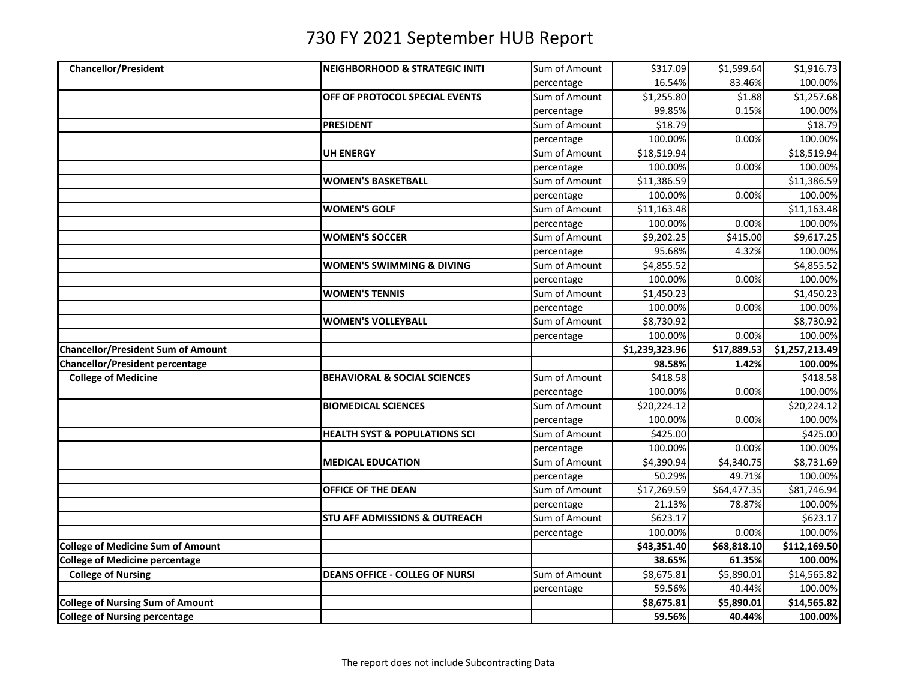| 16.54%<br>83.46%<br>100.00%<br>percentage<br>\$1,257.68<br>OFF OF PROTOCOL SPECIAL EVENTS<br>Sum of Amount<br>\$1,255.80<br>\$1.88<br>99.85%<br>0.15%<br>100.00%<br>percentage<br>\$18.79<br>Sum of Amount<br>\$18.79<br><b>PRESIDENT</b><br>100.00%<br>100.00%<br>0.00%<br>percentage<br>Sum of Amount<br>\$18,519.94<br>\$18,519.94<br><b>UH ENERGY</b><br>100.00%<br>0.00%<br>100.00%<br>percentage<br>Sum of Amount<br>\$11,386.59<br>\$11,386.59<br><b>WOMEN'S BASKETBALL</b><br>100.00%<br>0.00%<br>100.00%<br>percentage<br><b>WOMEN'S GOLF</b><br>Sum of Amount<br>\$11,163.48<br>\$11,163.48<br>100.00%<br>0.00%<br>100.00%<br>percentage<br>Sum of Amount<br>\$9,202.25<br>\$415.00<br>\$9,617.25<br><b>WOMEN'S SOCCER</b><br>95.68%<br>100.00%<br>percentage<br>4.32%<br>Sum of Amount<br>\$4,855.52<br><b>WOMEN'S SWIMMING &amp; DIVING</b><br>\$4,855.52<br>100.00%<br>0.00%<br>100.00%<br>percentage<br>\$1,450.23<br>Sum of Amount<br>\$1,450.23<br><b>WOMEN'S TENNIS</b><br>100.00%<br>0.00%<br>100.00%<br>percentage<br>Sum of Amount<br>\$8,730.92<br>\$8,730.92<br><b>WOMEN'S VOLLEYBALL</b><br>100.00%<br>0.00%<br>100.00%<br>percentage<br>\$1,257,213.49<br>\$1,239,323.96<br>\$17,889.53<br>98.58%<br>1.42%<br>100.00%<br>Sum of Amount<br>\$418.58<br>\$418.58<br><b>College of Medicine</b><br><b>BEHAVIORAL &amp; SOCIAL SCIENCES</b><br>100.00%<br>0.00%<br>100.00%<br>percentage<br>Sum of Amount<br>\$20,224.12<br>\$20,224.12<br><b>BIOMEDICAL SCIENCES</b><br>100.00%<br>0.00%<br>100.00%<br>percentage<br>Sum of Amount<br>\$425.00<br>\$425.00<br><b>HEALTH SYST &amp; POPULATIONS SCI</b><br>100.00%<br>0.00%<br>100.00%<br>percentage<br>Sum of Amount<br>\$4,390.94<br>\$4,340.75<br>\$8,731.69<br><b>MEDICAL EDUCATION</b><br>50.29%<br>49.71%<br>100.00%<br>percentage<br>Sum of Amount<br>\$17,269.59<br>\$64,477.35<br>\$81,746.94<br>OFFICE OF THE DEAN<br>100.00%<br>21.13%<br>78.87%<br>percentage<br>Sum of Amount<br>\$623.17<br>\$623.17<br><b>STU AFF ADMISSIONS &amp; OUTREACH</b><br>100.00%<br>0.00%<br>100.00%<br>percentage<br><b>College of Medicine Sum of Amount</b><br>\$112,169.50<br>\$43,351.40<br>\$68,818.10<br><b>College of Medicine percentage</b><br>38.65%<br>61.35%<br>100.00%<br><b>College of Nursing</b><br>Sum of Amount<br>\$14,565.82<br><b>DEANS OFFICE - COLLEG OF NURSI</b><br>\$8,675.81<br>\$5,890.01<br>59.56%<br>40.44%<br>100.00%<br>percentage<br><b>College of Nursing Sum of Amount</b><br>\$5,890.01<br>\$14,565.82<br>\$8,675.81<br><b>College of Nursing percentage</b><br>59.56%<br>40.44%<br>100.00% |                                           |                                            |               |          |            |            |
|-----------------------------------------------------------------------------------------------------------------------------------------------------------------------------------------------------------------------------------------------------------------------------------------------------------------------------------------------------------------------------------------------------------------------------------------------------------------------------------------------------------------------------------------------------------------------------------------------------------------------------------------------------------------------------------------------------------------------------------------------------------------------------------------------------------------------------------------------------------------------------------------------------------------------------------------------------------------------------------------------------------------------------------------------------------------------------------------------------------------------------------------------------------------------------------------------------------------------------------------------------------------------------------------------------------------------------------------------------------------------------------------------------------------------------------------------------------------------------------------------------------------------------------------------------------------------------------------------------------------------------------------------------------------------------------------------------------------------------------------------------------------------------------------------------------------------------------------------------------------------------------------------------------------------------------------------------------------------------------------------------------------------------------------------------------------------------------------------------------------------------------------------------------------------------------------------------------------------------------------------------------------------------------------------------------------------------------------------------------------------------------------------------------------------------------------------------------------------------------------------------------------------------------------------------------------------------------------------|-------------------------------------------|--------------------------------------------|---------------|----------|------------|------------|
|                                                                                                                                                                                                                                                                                                                                                                                                                                                                                                                                                                                                                                                                                                                                                                                                                                                                                                                                                                                                                                                                                                                                                                                                                                                                                                                                                                                                                                                                                                                                                                                                                                                                                                                                                                                                                                                                                                                                                                                                                                                                                                                                                                                                                                                                                                                                                                                                                                                                                                                                                                                               | <b>Chancellor/President</b>               | <b>INEIGHBORHOOD &amp; STRATEGIC INITI</b> | Sum of Amount | \$317.09 | \$1,599.64 | \$1,916.73 |
|                                                                                                                                                                                                                                                                                                                                                                                                                                                                                                                                                                                                                                                                                                                                                                                                                                                                                                                                                                                                                                                                                                                                                                                                                                                                                                                                                                                                                                                                                                                                                                                                                                                                                                                                                                                                                                                                                                                                                                                                                                                                                                                                                                                                                                                                                                                                                                                                                                                                                                                                                                                               |                                           |                                            |               |          |            |            |
|                                                                                                                                                                                                                                                                                                                                                                                                                                                                                                                                                                                                                                                                                                                                                                                                                                                                                                                                                                                                                                                                                                                                                                                                                                                                                                                                                                                                                                                                                                                                                                                                                                                                                                                                                                                                                                                                                                                                                                                                                                                                                                                                                                                                                                                                                                                                                                                                                                                                                                                                                                                               |                                           |                                            |               |          |            |            |
|                                                                                                                                                                                                                                                                                                                                                                                                                                                                                                                                                                                                                                                                                                                                                                                                                                                                                                                                                                                                                                                                                                                                                                                                                                                                                                                                                                                                                                                                                                                                                                                                                                                                                                                                                                                                                                                                                                                                                                                                                                                                                                                                                                                                                                                                                                                                                                                                                                                                                                                                                                                               |                                           |                                            |               |          |            |            |
|                                                                                                                                                                                                                                                                                                                                                                                                                                                                                                                                                                                                                                                                                                                                                                                                                                                                                                                                                                                                                                                                                                                                                                                                                                                                                                                                                                                                                                                                                                                                                                                                                                                                                                                                                                                                                                                                                                                                                                                                                                                                                                                                                                                                                                                                                                                                                                                                                                                                                                                                                                                               |                                           |                                            |               |          |            |            |
|                                                                                                                                                                                                                                                                                                                                                                                                                                                                                                                                                                                                                                                                                                                                                                                                                                                                                                                                                                                                                                                                                                                                                                                                                                                                                                                                                                                                                                                                                                                                                                                                                                                                                                                                                                                                                                                                                                                                                                                                                                                                                                                                                                                                                                                                                                                                                                                                                                                                                                                                                                                               |                                           |                                            |               |          |            |            |
|                                                                                                                                                                                                                                                                                                                                                                                                                                                                                                                                                                                                                                                                                                                                                                                                                                                                                                                                                                                                                                                                                                                                                                                                                                                                                                                                                                                                                                                                                                                                                                                                                                                                                                                                                                                                                                                                                                                                                                                                                                                                                                                                                                                                                                                                                                                                                                                                                                                                                                                                                                                               |                                           |                                            |               |          |            |            |
|                                                                                                                                                                                                                                                                                                                                                                                                                                                                                                                                                                                                                                                                                                                                                                                                                                                                                                                                                                                                                                                                                                                                                                                                                                                                                                                                                                                                                                                                                                                                                                                                                                                                                                                                                                                                                                                                                                                                                                                                                                                                                                                                                                                                                                                                                                                                                                                                                                                                                                                                                                                               |                                           |                                            |               |          |            |            |
|                                                                                                                                                                                                                                                                                                                                                                                                                                                                                                                                                                                                                                                                                                                                                                                                                                                                                                                                                                                                                                                                                                                                                                                                                                                                                                                                                                                                                                                                                                                                                                                                                                                                                                                                                                                                                                                                                                                                                                                                                                                                                                                                                                                                                                                                                                                                                                                                                                                                                                                                                                                               |                                           |                                            |               |          |            |            |
|                                                                                                                                                                                                                                                                                                                                                                                                                                                                                                                                                                                                                                                                                                                                                                                                                                                                                                                                                                                                                                                                                                                                                                                                                                                                                                                                                                                                                                                                                                                                                                                                                                                                                                                                                                                                                                                                                                                                                                                                                                                                                                                                                                                                                                                                                                                                                                                                                                                                                                                                                                                               |                                           |                                            |               |          |            |            |
|                                                                                                                                                                                                                                                                                                                                                                                                                                                                                                                                                                                                                                                                                                                                                                                                                                                                                                                                                                                                                                                                                                                                                                                                                                                                                                                                                                                                                                                                                                                                                                                                                                                                                                                                                                                                                                                                                                                                                                                                                                                                                                                                                                                                                                                                                                                                                                                                                                                                                                                                                                                               |                                           |                                            |               |          |            |            |
|                                                                                                                                                                                                                                                                                                                                                                                                                                                                                                                                                                                                                                                                                                                                                                                                                                                                                                                                                                                                                                                                                                                                                                                                                                                                                                                                                                                                                                                                                                                                                                                                                                                                                                                                                                                                                                                                                                                                                                                                                                                                                                                                                                                                                                                                                                                                                                                                                                                                                                                                                                                               |                                           |                                            |               |          |            |            |
|                                                                                                                                                                                                                                                                                                                                                                                                                                                                                                                                                                                                                                                                                                                                                                                                                                                                                                                                                                                                                                                                                                                                                                                                                                                                                                                                                                                                                                                                                                                                                                                                                                                                                                                                                                                                                                                                                                                                                                                                                                                                                                                                                                                                                                                                                                                                                                                                                                                                                                                                                                                               |                                           |                                            |               |          |            |            |
|                                                                                                                                                                                                                                                                                                                                                                                                                                                                                                                                                                                                                                                                                                                                                                                                                                                                                                                                                                                                                                                                                                                                                                                                                                                                                                                                                                                                                                                                                                                                                                                                                                                                                                                                                                                                                                                                                                                                                                                                                                                                                                                                                                                                                                                                                                                                                                                                                                                                                                                                                                                               |                                           |                                            |               |          |            |            |
|                                                                                                                                                                                                                                                                                                                                                                                                                                                                                                                                                                                                                                                                                                                                                                                                                                                                                                                                                                                                                                                                                                                                                                                                                                                                                                                                                                                                                                                                                                                                                                                                                                                                                                                                                                                                                                                                                                                                                                                                                                                                                                                                                                                                                                                                                                                                                                                                                                                                                                                                                                                               |                                           |                                            |               |          |            |            |
|                                                                                                                                                                                                                                                                                                                                                                                                                                                                                                                                                                                                                                                                                                                                                                                                                                                                                                                                                                                                                                                                                                                                                                                                                                                                                                                                                                                                                                                                                                                                                                                                                                                                                                                                                                                                                                                                                                                                                                                                                                                                                                                                                                                                                                                                                                                                                                                                                                                                                                                                                                                               |                                           |                                            |               |          |            |            |
|                                                                                                                                                                                                                                                                                                                                                                                                                                                                                                                                                                                                                                                                                                                                                                                                                                                                                                                                                                                                                                                                                                                                                                                                                                                                                                                                                                                                                                                                                                                                                                                                                                                                                                                                                                                                                                                                                                                                                                                                                                                                                                                                                                                                                                                                                                                                                                                                                                                                                                                                                                                               |                                           |                                            |               |          |            |            |
|                                                                                                                                                                                                                                                                                                                                                                                                                                                                                                                                                                                                                                                                                                                                                                                                                                                                                                                                                                                                                                                                                                                                                                                                                                                                                                                                                                                                                                                                                                                                                                                                                                                                                                                                                                                                                                                                                                                                                                                                                                                                                                                                                                                                                                                                                                                                                                                                                                                                                                                                                                                               |                                           |                                            |               |          |            |            |
|                                                                                                                                                                                                                                                                                                                                                                                                                                                                                                                                                                                                                                                                                                                                                                                                                                                                                                                                                                                                                                                                                                                                                                                                                                                                                                                                                                                                                                                                                                                                                                                                                                                                                                                                                                                                                                                                                                                                                                                                                                                                                                                                                                                                                                                                                                                                                                                                                                                                                                                                                                                               |                                           |                                            |               |          |            |            |
|                                                                                                                                                                                                                                                                                                                                                                                                                                                                                                                                                                                                                                                                                                                                                                                                                                                                                                                                                                                                                                                                                                                                                                                                                                                                                                                                                                                                                                                                                                                                                                                                                                                                                                                                                                                                                                                                                                                                                                                                                                                                                                                                                                                                                                                                                                                                                                                                                                                                                                                                                                                               |                                           |                                            |               |          |            |            |
|                                                                                                                                                                                                                                                                                                                                                                                                                                                                                                                                                                                                                                                                                                                                                                                                                                                                                                                                                                                                                                                                                                                                                                                                                                                                                                                                                                                                                                                                                                                                                                                                                                                                                                                                                                                                                                                                                                                                                                                                                                                                                                                                                                                                                                                                                                                                                                                                                                                                                                                                                                                               | <b>Chancellor/President Sum of Amount</b> |                                            |               |          |            |            |
|                                                                                                                                                                                                                                                                                                                                                                                                                                                                                                                                                                                                                                                                                                                                                                                                                                                                                                                                                                                                                                                                                                                                                                                                                                                                                                                                                                                                                                                                                                                                                                                                                                                                                                                                                                                                                                                                                                                                                                                                                                                                                                                                                                                                                                                                                                                                                                                                                                                                                                                                                                                               | <b>Chancellor/President percentage</b>    |                                            |               |          |            |            |
|                                                                                                                                                                                                                                                                                                                                                                                                                                                                                                                                                                                                                                                                                                                                                                                                                                                                                                                                                                                                                                                                                                                                                                                                                                                                                                                                                                                                                                                                                                                                                                                                                                                                                                                                                                                                                                                                                                                                                                                                                                                                                                                                                                                                                                                                                                                                                                                                                                                                                                                                                                                               |                                           |                                            |               |          |            |            |
|                                                                                                                                                                                                                                                                                                                                                                                                                                                                                                                                                                                                                                                                                                                                                                                                                                                                                                                                                                                                                                                                                                                                                                                                                                                                                                                                                                                                                                                                                                                                                                                                                                                                                                                                                                                                                                                                                                                                                                                                                                                                                                                                                                                                                                                                                                                                                                                                                                                                                                                                                                                               |                                           |                                            |               |          |            |            |
|                                                                                                                                                                                                                                                                                                                                                                                                                                                                                                                                                                                                                                                                                                                                                                                                                                                                                                                                                                                                                                                                                                                                                                                                                                                                                                                                                                                                                                                                                                                                                                                                                                                                                                                                                                                                                                                                                                                                                                                                                                                                                                                                                                                                                                                                                                                                                                                                                                                                                                                                                                                               |                                           |                                            |               |          |            |            |
|                                                                                                                                                                                                                                                                                                                                                                                                                                                                                                                                                                                                                                                                                                                                                                                                                                                                                                                                                                                                                                                                                                                                                                                                                                                                                                                                                                                                                                                                                                                                                                                                                                                                                                                                                                                                                                                                                                                                                                                                                                                                                                                                                                                                                                                                                                                                                                                                                                                                                                                                                                                               |                                           |                                            |               |          |            |            |
|                                                                                                                                                                                                                                                                                                                                                                                                                                                                                                                                                                                                                                                                                                                                                                                                                                                                                                                                                                                                                                                                                                                                                                                                                                                                                                                                                                                                                                                                                                                                                                                                                                                                                                                                                                                                                                                                                                                                                                                                                                                                                                                                                                                                                                                                                                                                                                                                                                                                                                                                                                                               |                                           |                                            |               |          |            |            |
|                                                                                                                                                                                                                                                                                                                                                                                                                                                                                                                                                                                                                                                                                                                                                                                                                                                                                                                                                                                                                                                                                                                                                                                                                                                                                                                                                                                                                                                                                                                                                                                                                                                                                                                                                                                                                                                                                                                                                                                                                                                                                                                                                                                                                                                                                                                                                                                                                                                                                                                                                                                               |                                           |                                            |               |          |            |            |
|                                                                                                                                                                                                                                                                                                                                                                                                                                                                                                                                                                                                                                                                                                                                                                                                                                                                                                                                                                                                                                                                                                                                                                                                                                                                                                                                                                                                                                                                                                                                                                                                                                                                                                                                                                                                                                                                                                                                                                                                                                                                                                                                                                                                                                                                                                                                                                                                                                                                                                                                                                                               |                                           |                                            |               |          |            |            |
|                                                                                                                                                                                                                                                                                                                                                                                                                                                                                                                                                                                                                                                                                                                                                                                                                                                                                                                                                                                                                                                                                                                                                                                                                                                                                                                                                                                                                                                                                                                                                                                                                                                                                                                                                                                                                                                                                                                                                                                                                                                                                                                                                                                                                                                                                                                                                                                                                                                                                                                                                                                               |                                           |                                            |               |          |            |            |
|                                                                                                                                                                                                                                                                                                                                                                                                                                                                                                                                                                                                                                                                                                                                                                                                                                                                                                                                                                                                                                                                                                                                                                                                                                                                                                                                                                                                                                                                                                                                                                                                                                                                                                                                                                                                                                                                                                                                                                                                                                                                                                                                                                                                                                                                                                                                                                                                                                                                                                                                                                                               |                                           |                                            |               |          |            |            |
|                                                                                                                                                                                                                                                                                                                                                                                                                                                                                                                                                                                                                                                                                                                                                                                                                                                                                                                                                                                                                                                                                                                                                                                                                                                                                                                                                                                                                                                                                                                                                                                                                                                                                                                                                                                                                                                                                                                                                                                                                                                                                                                                                                                                                                                                                                                                                                                                                                                                                                                                                                                               |                                           |                                            |               |          |            |            |
|                                                                                                                                                                                                                                                                                                                                                                                                                                                                                                                                                                                                                                                                                                                                                                                                                                                                                                                                                                                                                                                                                                                                                                                                                                                                                                                                                                                                                                                                                                                                                                                                                                                                                                                                                                                                                                                                                                                                                                                                                                                                                                                                                                                                                                                                                                                                                                                                                                                                                                                                                                                               |                                           |                                            |               |          |            |            |
|                                                                                                                                                                                                                                                                                                                                                                                                                                                                                                                                                                                                                                                                                                                                                                                                                                                                                                                                                                                                                                                                                                                                                                                                                                                                                                                                                                                                                                                                                                                                                                                                                                                                                                                                                                                                                                                                                                                                                                                                                                                                                                                                                                                                                                                                                                                                                                                                                                                                                                                                                                                               |                                           |                                            |               |          |            |            |
|                                                                                                                                                                                                                                                                                                                                                                                                                                                                                                                                                                                                                                                                                                                                                                                                                                                                                                                                                                                                                                                                                                                                                                                                                                                                                                                                                                                                                                                                                                                                                                                                                                                                                                                                                                                                                                                                                                                                                                                                                                                                                                                                                                                                                                                                                                                                                                                                                                                                                                                                                                                               |                                           |                                            |               |          |            |            |
|                                                                                                                                                                                                                                                                                                                                                                                                                                                                                                                                                                                                                                                                                                                                                                                                                                                                                                                                                                                                                                                                                                                                                                                                                                                                                                                                                                                                                                                                                                                                                                                                                                                                                                                                                                                                                                                                                                                                                                                                                                                                                                                                                                                                                                                                                                                                                                                                                                                                                                                                                                                               |                                           |                                            |               |          |            |            |
|                                                                                                                                                                                                                                                                                                                                                                                                                                                                                                                                                                                                                                                                                                                                                                                                                                                                                                                                                                                                                                                                                                                                                                                                                                                                                                                                                                                                                                                                                                                                                                                                                                                                                                                                                                                                                                                                                                                                                                                                                                                                                                                                                                                                                                                                                                                                                                                                                                                                                                                                                                                               |                                           |                                            |               |          |            |            |
|                                                                                                                                                                                                                                                                                                                                                                                                                                                                                                                                                                                                                                                                                                                                                                                                                                                                                                                                                                                                                                                                                                                                                                                                                                                                                                                                                                                                                                                                                                                                                                                                                                                                                                                                                                                                                                                                                                                                                                                                                                                                                                                                                                                                                                                                                                                                                                                                                                                                                                                                                                                               |                                           |                                            |               |          |            |            |
|                                                                                                                                                                                                                                                                                                                                                                                                                                                                                                                                                                                                                                                                                                                                                                                                                                                                                                                                                                                                                                                                                                                                                                                                                                                                                                                                                                                                                                                                                                                                                                                                                                                                                                                                                                                                                                                                                                                                                                                                                                                                                                                                                                                                                                                                                                                                                                                                                                                                                                                                                                                               |                                           |                                            |               |          |            |            |
|                                                                                                                                                                                                                                                                                                                                                                                                                                                                                                                                                                                                                                                                                                                                                                                                                                                                                                                                                                                                                                                                                                                                                                                                                                                                                                                                                                                                                                                                                                                                                                                                                                                                                                                                                                                                                                                                                                                                                                                                                                                                                                                                                                                                                                                                                                                                                                                                                                                                                                                                                                                               |                                           |                                            |               |          |            |            |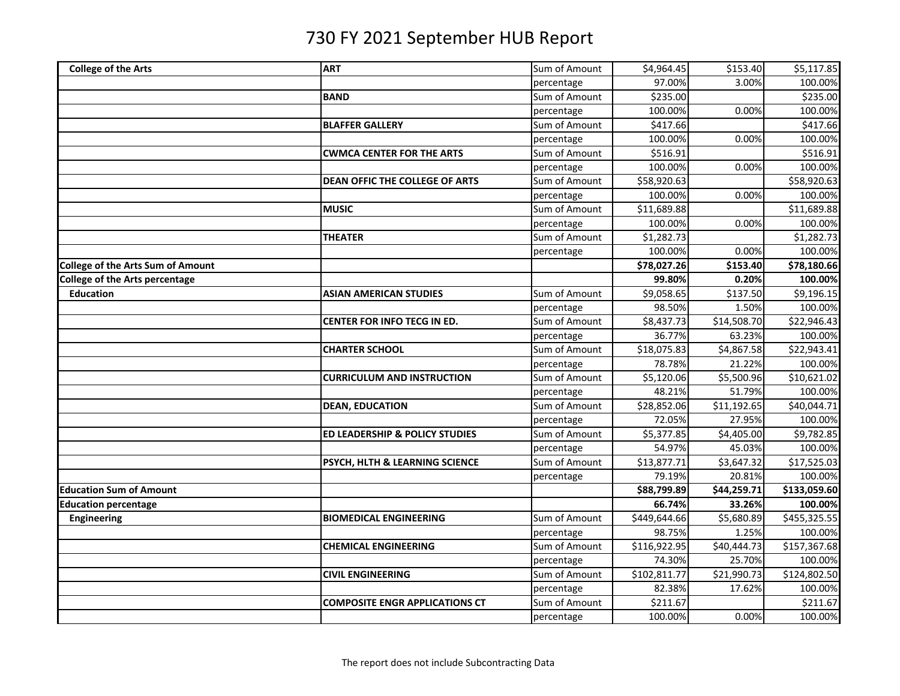| <b>College of the Arts</b>               | <b>ART</b>                            | Sum of Amount | \$4,964.45   | \$153.40    | \$5,117.85   |
|------------------------------------------|---------------------------------------|---------------|--------------|-------------|--------------|
|                                          |                                       | percentage    | 97.00%       | 3.00%       | 100.00%      |
|                                          | <b>BAND</b>                           | Sum of Amount | \$235.00     |             | \$235.00     |
|                                          |                                       | percentage    | 100.00%      | 0.00%       | 100.00%      |
|                                          | <b>BLAFFER GALLERY</b>                | Sum of Amount | \$417.66     |             | \$417.66     |
|                                          |                                       | percentage    | 100.00%      | 0.00%       | 100.00%      |
|                                          | <b>CWMCA CENTER FOR THE ARTS</b>      | Sum of Amount | \$516.91     |             | \$516.91     |
|                                          |                                       | percentage    | 100.00%      | 0.00%       | 100.00%      |
|                                          | DEAN OFFIC THE COLLEGE OF ARTS        | Sum of Amount | \$58,920.63  |             | \$58,920.63  |
|                                          |                                       | percentage    | 100.00%      | 0.00%       | 100.00%      |
|                                          | <b>MUSIC</b>                          | Sum of Amount | \$11,689.88  |             | \$11,689.88  |
|                                          |                                       | percentage    | 100.00%      | 0.00%       | 100.00%      |
|                                          | THEATER                               | Sum of Amount | \$1,282.73   |             | \$1,282.73   |
|                                          |                                       | percentage    | 100.00%      | 0.00%       | 100.00%      |
| <b>College of the Arts Sum of Amount</b> |                                       |               | \$78,027.26  | \$153.40    | \$78,180.66  |
| <b>College of the Arts percentage</b>    |                                       |               | 99.80%       | 0.20%       | 100.00%      |
| <b>Education</b>                         | <b>ASIAN AMERICAN STUDIES</b>         | Sum of Amount | \$9,058.65   | \$137.50    | \$9,196.15   |
|                                          |                                       | percentage    | 98.50%       | 1.50%       | 100.00%      |
|                                          | CENTER FOR INFO TECG IN ED.           | Sum of Amount | \$8,437.73   | \$14,508.70 | \$22,946.43  |
|                                          |                                       | percentage    | 36.77%       | 63.23%      | 100.00%      |
|                                          | <b>CHARTER SCHOOL</b>                 | Sum of Amount | \$18,075.83  | \$4,867.58  | \$22,943.41  |
|                                          |                                       | percentage    | 78.78%       | 21.22%      | 100.00%      |
|                                          | <b>CURRICULUM AND INSTRUCTION</b>     | Sum of Amount | \$5,120.06   | \$5,500.96  | \$10,621.02  |
|                                          |                                       | percentage    | 48.21%       | 51.79%      | 100.00%      |
|                                          | <b>DEAN, EDUCATION</b>                | Sum of Amount | \$28,852.06  | \$11,192.65 | \$40,044.71  |
|                                          |                                       | percentage    | 72.05%       | 27.95%      | 100.00%      |
|                                          | ED LEADERSHIP & POLICY STUDIES        | Sum of Amount | \$5,377.85   | \$4,405.00  | \$9,782.85   |
|                                          |                                       | percentage    | 54.97%       | 45.03%      | 100.00%      |
|                                          | PSYCH, HLTH & LEARNING SCIENCE        | Sum of Amount | \$13,877.71  | \$3,647.32  | \$17,525.03  |
|                                          |                                       | percentage    | 79.19%       | 20.81%      | 100.00%      |
| <b>Education Sum of Amount</b>           |                                       |               | \$88,799.89  | \$44,259.71 | \$133,059.60 |
| <b>Education percentage</b>              |                                       |               | 66.74%       | 33.26%      | 100.00%      |
| Engineering                              | <b>BIOMEDICAL ENGINEERING</b>         | Sum of Amount | \$449,644.66 | \$5,680.89  | \$455,325.55 |
|                                          |                                       | percentage    | 98.75%       | 1.25%       | 100.00%      |
|                                          | <b>CHEMICAL ENGINEERING</b>           | Sum of Amount | \$116,922.95 | \$40,444.73 | \$157,367.68 |
|                                          |                                       | percentage    | 74.30%       | 25.70%      | 100.00%      |
|                                          | <b>CIVIL ENGINEERING</b>              | Sum of Amount | \$102,811.77 | \$21,990.73 | \$124,802.50 |
|                                          |                                       | percentage    | 82.38%       | 17.62%      | 100.00%      |
|                                          | <b>COMPOSITE ENGR APPLICATIONS CT</b> | Sum of Amount | \$211.67     |             | \$211.67     |
|                                          |                                       | percentage    | 100.00%      | 0.00%       | 100.00%      |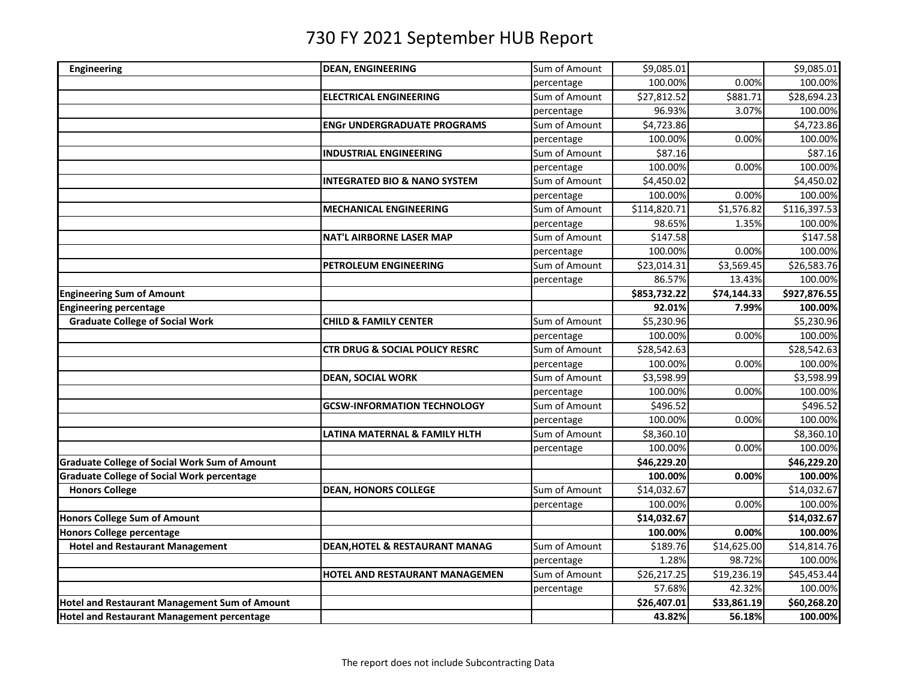| Engineering                                          | <b>DEAN, ENGINEERING</b>                  | Sum of Amount | \$9,085.01   |             | \$9,085.01   |
|------------------------------------------------------|-------------------------------------------|---------------|--------------|-------------|--------------|
|                                                      |                                           | percentage    | 100.00%      | 0.00%       | 100.00%      |
|                                                      | <b>ELECTRICAL ENGINEERING</b>             | Sum of Amount | \$27,812.52  | \$881.71    | \$28,694.23  |
|                                                      |                                           | percentage    | 96.93%       | 3.07%       | 100.00%      |
|                                                      | <b>ENGr UNDERGRADUATE PROGRAMS</b>        | Sum of Amount | \$4,723.86   |             | \$4,723.86   |
|                                                      |                                           | percentage    | 100.00%      | 0.00%       | 100.00%      |
|                                                      | <b>INDUSTRIAL ENGINEERING</b>             | Sum of Amount | \$87.16      |             | \$87.16      |
|                                                      |                                           | percentage    | 100.00%      | 0.00%       | 100.00%      |
|                                                      | <b>INTEGRATED BIO &amp; NANO SYSTEM</b>   | Sum of Amount | \$4,450.02   |             | \$4,450.02   |
|                                                      |                                           | percentage    | 100.00%      | 0.00%       | 100.00%      |
|                                                      | <b>MECHANICAL ENGINEERING</b>             | Sum of Amount | \$114,820.71 | \$1,576.82  | \$116,397.53 |
|                                                      |                                           | percentage    | 98.65%       | 1.35%       | 100.00%      |
|                                                      | <b>NAT'L AIRBORNE LASER MAP</b>           | Sum of Amount | \$147.58     |             | \$147.58     |
|                                                      |                                           | percentage    | 100.00%      | 0.00%       | 100.00%      |
|                                                      | PETROLEUM ENGINEERING                     | Sum of Amount | \$23,014.31  | \$3,569.45  | \$26,583.76  |
|                                                      |                                           | percentage    | 86.57%       | 13.43%      | 100.00%      |
| <b>Engineering Sum of Amount</b>                     |                                           |               | \$853,732.22 | \$74,144.33 | \$927,876.55 |
| <b>Engineering percentage</b>                        |                                           |               | 92.01%       | 7.99%       | 100.00%      |
| <b>Graduate College of Social Work</b>               | <b>CHILD &amp; FAMILY CENTER</b>          | Sum of Amount | \$5,230.96   |             | \$5,230.96   |
|                                                      |                                           | percentage    | 100.00%      | 0.00%       | 100.00%      |
|                                                      | <b>CTR DRUG &amp; SOCIAL POLICY RESRC</b> | Sum of Amount | \$28,542.63  |             | \$28,542.63  |
|                                                      |                                           | percentage    | 100.00%      | 0.00%       | 100.00%      |
|                                                      | <b>DEAN, SOCIAL WORK</b>                  | Sum of Amount | \$3,598.99   |             | \$3,598.99   |
|                                                      |                                           | percentage    | 100.00%      | 0.00%       | 100.00%      |
|                                                      | <b>GCSW-INFORMATION TECHNOLOGY</b>        | Sum of Amount | \$496.52     |             | \$496.52     |
|                                                      |                                           | percentage    | 100.00%      | 0.00%       | 100.00%      |
|                                                      | LATINA MATERNAL & FAMILY HLTH             | Sum of Amount | \$8,360.10   |             | \$8,360.10   |
|                                                      |                                           | percentage    | 100.00%      | 0.00%       | 100.00%      |
| <b>Graduate College of Social Work Sum of Amount</b> |                                           |               | \$46,229.20  |             | \$46,229.20  |
| <b>Graduate College of Social Work percentage</b>    |                                           |               | 100.00%      | 0.00%       | 100.00%      |
| <b>Honors College</b>                                | <b>DEAN, HONORS COLLEGE</b>               | Sum of Amount | \$14,032.67  |             | \$14,032.67  |
|                                                      |                                           | percentage    | 100.00%      | 0.00%       | 100.00%      |
| <b>Honors College Sum of Amount</b>                  |                                           |               | \$14,032.67  |             | \$14,032.67  |
| <b>Honors College percentage</b>                     |                                           |               | 100.00%      | 0.00%       | 100.00%      |
| <b>Hotel and Restaurant Management</b>               | <b>DEAN, HOTEL &amp; RESTAURANT MANAG</b> | Sum of Amount | \$189.76     | \$14,625.00 | \$14,814.76  |
|                                                      |                                           | percentage    | 1.28%        | 98.72%      | 100.00%      |
|                                                      | HOTEL AND RESTAURANT MANAGEMEN            | Sum of Amount | \$26,217.25  | \$19,236.19 | \$45,453.44  |
|                                                      |                                           | percentage    | 57.68%       | 42.32%      | 100.00%      |
| <b>Hotel and Restaurant Management Sum of Amount</b> |                                           |               | \$26,407.01  | \$33,861.19 | \$60,268.20  |
| <b>Hotel and Restaurant Management percentage</b>    |                                           |               | 43.82%       | 56.18%      | 100.00%      |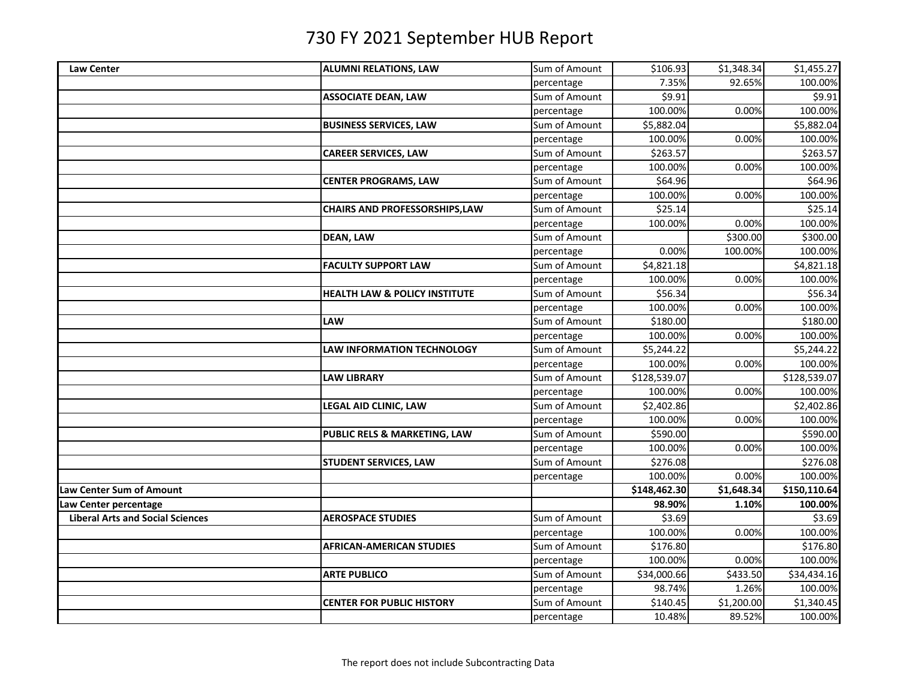| <b>Law Center</b>                       | <b>ALUMNI RELATIONS, LAW</b>             | Sum of Amount | \$106.93     | \$1,348.34 | \$1,455.27   |
|-----------------------------------------|------------------------------------------|---------------|--------------|------------|--------------|
|                                         |                                          | percentage    | 7.35%        | 92.65%     | 100.00%      |
|                                         | <b>ASSOCIATE DEAN, LAW</b>               | Sum of Amount | \$9.91       |            | \$9.91       |
|                                         |                                          | percentage    | 100.00%      | 0.00%      | 100.00%      |
|                                         | <b>BUSINESS SERVICES, LAW</b>            | Sum of Amount | \$5,882.04   |            | \$5,882.04   |
|                                         |                                          | percentage    | 100.00%      | 0.00%      | 100.00%      |
|                                         | <b>CAREER SERVICES, LAW</b>              | Sum of Amount | \$263.57     |            | \$263.57     |
|                                         |                                          | percentage    | 100.00%      | 0.00%      | 100.00%      |
|                                         | <b>CENTER PROGRAMS, LAW</b>              | Sum of Amount | \$64.96      |            | \$64.96      |
|                                         |                                          | percentage    | 100.00%      | 0.00%      | 100.00%      |
|                                         | <b>CHAIRS AND PROFESSORSHIPS,LAW</b>     | Sum of Amount | \$25.14      |            | \$25.14      |
|                                         |                                          | percentage    | 100.00%      | 0.00%      | 100.00%      |
|                                         | <b>DEAN, LAW</b>                         | Sum of Amount |              | \$300.00   | \$300.00     |
|                                         |                                          | percentage    | 0.00%        | 100.00%    | 100.00%      |
|                                         | <b>FACULTY SUPPORT LAW</b>               | Sum of Amount | \$4,821.18   |            | \$4,821.18   |
|                                         |                                          | percentage    | 100.00%      | 0.00%      | 100.00%      |
|                                         | <b>HEALTH LAW &amp; POLICY INSTITUTE</b> | Sum of Amount | \$56.34      |            | \$56.34      |
|                                         |                                          | percentage    | 100.00%      | 0.00%      | 100.00%      |
|                                         | <b>LAW</b>                               | Sum of Amount | \$180.00     |            | \$180.00     |
|                                         |                                          | percentage    | 100.00%      | 0.00%      | 100.00%      |
|                                         | <b>LAW INFORMATION TECHNOLOGY</b>        | Sum of Amount | \$5,244.22   |            | \$5,244.22   |
|                                         |                                          | percentage    | 100.00%      | 0.00%      | 100.00%      |
|                                         | <b>LAW LIBRARY</b>                       | Sum of Amount | \$128,539.07 |            | \$128,539.07 |
|                                         |                                          | percentage    | 100.00%      | 0.00%      | 100.00%      |
|                                         | LEGAL AID CLINIC, LAW                    | Sum of Amount | \$2,402.86   |            | \$2,402.86   |
|                                         |                                          | percentage    | 100.00%      | 0.00%      | 100.00%      |
|                                         | PUBLIC RELS & MARKETING, LAW             | Sum of Amount | \$590.00     |            | \$590.00     |
|                                         |                                          | percentage    | 100.00%      | 0.00%      | 100.00%      |
|                                         | <b>STUDENT SERVICES, LAW</b>             | Sum of Amount | \$276.08     |            | \$276.08     |
|                                         |                                          | percentage    | 100.00%      | 0.00%      | 100.00%      |
| Law Center Sum of Amount                |                                          |               | \$148,462.30 | \$1,648.34 | \$150,110.64 |
| Law Center percentage                   |                                          |               | 98.90%       | 1.10%      | 100.00%      |
| <b>Liberal Arts and Social Sciences</b> | <b>AEROSPACE STUDIES</b>                 | Sum of Amount | \$3.69       |            | \$3.69       |
|                                         |                                          | percentage    | 100.00%      | 0.00%      | 100.00%      |
|                                         | <b>AFRICAN-AMERICAN STUDIES</b>          | Sum of Amount | \$176.80     |            | \$176.80     |
|                                         |                                          | percentage    | 100.00%      | 0.00%      | 100.00%      |
|                                         | <b>ARTE PUBLICO</b>                      | Sum of Amount | \$34,000.66  | \$433.50   | \$34,434.16  |
|                                         |                                          | percentage    | 98.74%       | 1.26%      | 100.00%      |
|                                         | <b>CENTER FOR PUBLIC HISTORY</b>         | Sum of Amount | \$140.45     | \$1,200.00 | \$1,340.45   |
|                                         |                                          | percentage    | 10.48%       | 89.52%     | 100.00%      |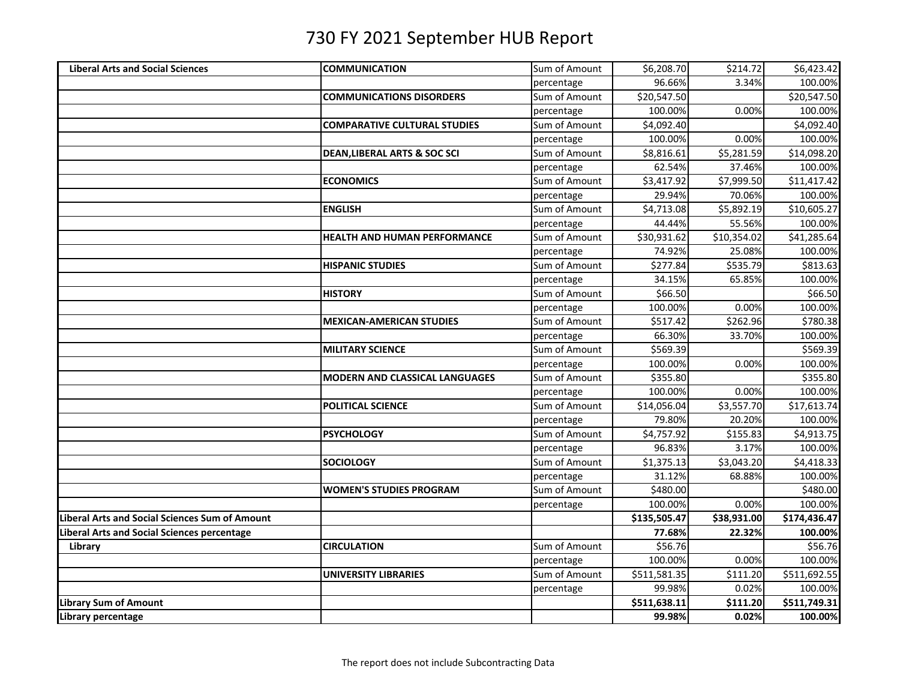| <b>Liberal Arts and Social Sciences</b>        | <b>COMMUNICATION</b>                    | Sum of Amount | \$6,208.70   | \$214.72    | \$6,423.42   |
|------------------------------------------------|-----------------------------------------|---------------|--------------|-------------|--------------|
|                                                |                                         | percentage    | 96.66%       | 3.34%       | 100.00%      |
|                                                | <b>COMMUNICATIONS DISORDERS</b>         | Sum of Amount | \$20,547.50  |             | \$20,547.50  |
|                                                |                                         | percentage    | 100.00%      | 0.00%       | 100.00%      |
|                                                | <b>COMPARATIVE CULTURAL STUDIES</b>     | Sum of Amount | \$4,092.40   |             | \$4,092.40   |
|                                                |                                         | percentage    | 100.00%      | 0.00%       | 100.00%      |
|                                                | <b>DEAN, LIBERAL ARTS &amp; SOC SCI</b> | Sum of Amount | \$8,816.61   | \$5,281.59  | \$14,098.20  |
|                                                |                                         | percentage    | 62.54%       | 37.46%      | 100.00%      |
|                                                | <b>ECONOMICS</b>                        | Sum of Amount | \$3,417.92   | \$7,999.50  | \$11,417.42  |
|                                                |                                         | percentage    | 29.94%       | 70.06%      | 100.00%      |
|                                                | <b>ENGLISH</b>                          | Sum of Amount | \$4,713.08   | \$5,892.19  | \$10,605.27  |
|                                                |                                         | percentage    | 44.44%       | 55.56%      | 100.00%      |
|                                                | HEALTH AND HUMAN PERFORMANCE            | Sum of Amount | \$30,931.62  | \$10,354.02 | \$41,285.64  |
|                                                |                                         | percentage    | 74.92%       | 25.08%      | 100.00%      |
|                                                | <b>HISPANIC STUDIES</b>                 | Sum of Amount | \$277.84     | \$535.79    | \$813.63     |
|                                                |                                         | percentage    | 34.15%       | 65.85%      | 100.00%      |
|                                                | <b>HISTORY</b>                          | Sum of Amount | \$66.50      |             | 566.50       |
|                                                |                                         | percentage    | 100.00%      | 0.00%       | 100.00%      |
|                                                | <b>MEXICAN-AMERICAN STUDIES</b>         | Sum of Amount | \$517.42     | \$262.96    | \$780.38     |
|                                                |                                         | percentage    | 66.30%       | 33.70%      | 100.00%      |
|                                                | <b>MILITARY SCIENCE</b>                 | Sum of Amount | \$569.39     |             | \$569.39     |
|                                                |                                         | percentage    | 100.00%      | 0.00%       | 100.00%      |
|                                                | <b>MODERN AND CLASSICAL LANGUAGES</b>   | Sum of Amount | \$355.80     |             | \$355.80     |
|                                                |                                         | percentage    | 100.00%      | 0.00%       | 100.00%      |
|                                                | <b>POLITICAL SCIENCE</b>                | Sum of Amount | \$14,056.04  | \$3,557.70  | \$17,613.74  |
|                                                |                                         | percentage    | 79.80%       | 20.20%      | 100.00%      |
|                                                | <b>PSYCHOLOGY</b>                       | Sum of Amount | \$4,757.92   | \$155.83    | \$4,913.75   |
|                                                |                                         | percentage    | 96.83%       | 3.17%       | 100.00%      |
|                                                | <b>SOCIOLOGY</b>                        | Sum of Amount | \$1,375.13   | \$3,043.20  | \$4,418.33   |
|                                                |                                         | percentage    | 31.12%       | 68.88%      | 100.00%      |
|                                                | <b>WOMEN'S STUDIES PROGRAM</b>          | Sum of Amount | \$480.00     |             | \$480.00     |
|                                                |                                         | percentage    | 100.00%      | 0.00%       | 100.00%      |
| Liberal Arts and Social Sciences Sum of Amount |                                         |               | \$135,505.47 | \$38,931.00 | \$174,436.47 |
| Liberal Arts and Social Sciences percentage    |                                         |               | 77.68%       | 22.32%      | 100.00%      |
| Library                                        | <b>CIRCULATION</b>                      | Sum of Amount | \$56.76      |             | \$56.76      |
|                                                |                                         | percentage    | 100.00%      | 0.00%       | 100.00%      |
|                                                | <b>UNIVERSITY LIBRARIES</b>             | Sum of Amount | \$511,581.35 | \$111.20    | \$511,692.55 |
|                                                |                                         | percentage    | 99.98%       | 0.02%       | 100.00%      |
| Library Sum of Amount                          |                                         |               | \$511,638.11 | \$111.20    | \$511,749.31 |
| Library percentage                             |                                         |               | 99.98%       | 0.02%       | 100.00%      |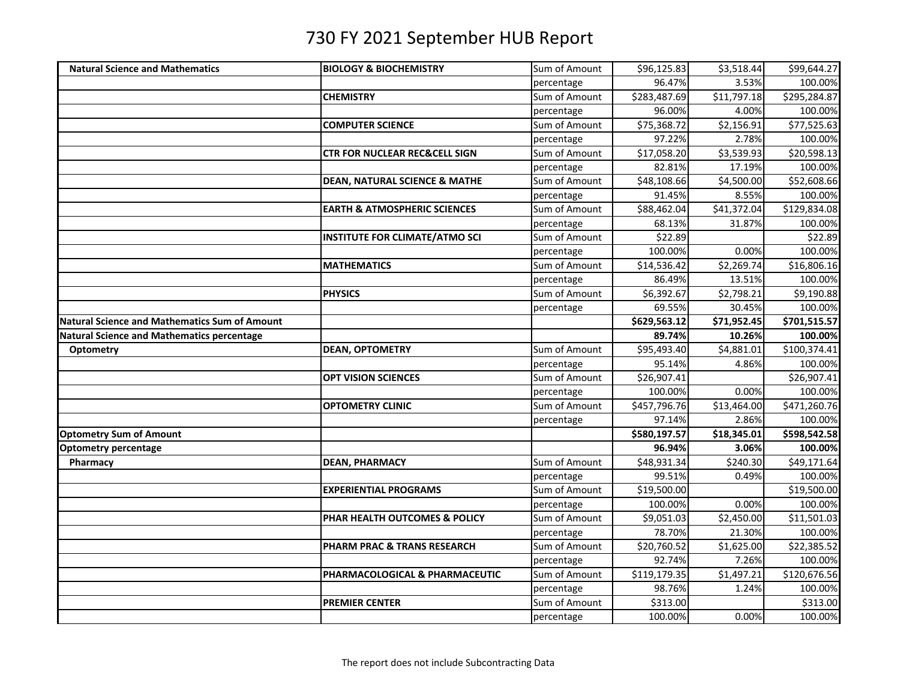| <b>Natural Science and Mathematics</b>        | <b>BIOLOGY &amp; BIOCHEMISTRY</b>        | Sum of Amount | \$96,125.83  | \$3,518.44  | \$99,644.27  |
|-----------------------------------------------|------------------------------------------|---------------|--------------|-------------|--------------|
|                                               |                                          | percentage    | 96.47%       | 3.53%       | 100.00%      |
|                                               | <b>CHEMISTRY</b>                         | Sum of Amount | \$283,487.69 | \$11,797.18 | \$295,284.87 |
|                                               |                                          | percentage    | 96.00%       | 4.00%       | 100.00%      |
|                                               | <b>COMPUTER SCIENCE</b>                  | Sum of Amount | \$75,368.72  | \$2,156.91  | \$77,525.63  |
|                                               |                                          | percentage    | 97.22%       | 2.78%       | 100.00%      |
|                                               | <b>CTR FOR NUCLEAR REC&amp;CELL SIGN</b> | Sum of Amount | \$17,058.20  | \$3,539.93  | \$20,598.13  |
|                                               |                                          | percentage    | 82.81%       | 17.19%      | 100.00%      |
|                                               | <b>DEAN, NATURAL SCIENCE &amp; MATHE</b> | Sum of Amount | \$48,108.66  | \$4,500.00  | \$52,608.66  |
|                                               |                                          | percentage    | 91.45%       | 8.55%       | 100.00%      |
|                                               | <b>EARTH &amp; ATMOSPHERIC SCIENCES</b>  | Sum of Amount | \$88,462.04  | \$41,372.04 | \$129,834.08 |
|                                               |                                          | percentage    | 68.13%       | 31.87%      | 100.00%      |
|                                               | <b>INSTITUTE FOR CLIMATE/ATMO SCI</b>    | Sum of Amount | \$22.89      |             | \$22.89      |
|                                               |                                          | percentage    | 100.00%      | 0.00%       | 100.00%      |
|                                               | <b>MATHEMATICS</b>                       | Sum of Amount | \$14,536.42  | \$2,269.74  | \$16,806.16  |
|                                               |                                          | percentage    | 86.49%       | 13.51%      | 100.00%      |
|                                               | <b>PHYSICS</b>                           | Sum of Amount | \$6,392.67   | \$2,798.21  | \$9,190.88   |
|                                               |                                          | percentage    | 69.55%       | 30.45%      | 100.00%      |
| Natural Science and Mathematics Sum of Amount |                                          |               | \$629,563.12 | \$71,952.45 | \$701,515.57 |
| Natural Science and Mathematics percentage    |                                          |               | 89.74%       | 10.26%      | 100.00%      |
| <b>Optometry</b>                              | <b>DEAN, OPTOMETRY</b>                   | Sum of Amount | \$95,493.40  | \$4,881.01  | \$100,374.41 |
|                                               |                                          | percentage    | 95.14%       | 4.86%       | 100.00%      |
|                                               | <b>OPT VISION SCIENCES</b>               | Sum of Amount | \$26,907.41  |             | \$26,907.41  |
|                                               |                                          | percentage    | 100.00%      | 0.00%       | 100.00%      |
|                                               | <b>OPTOMETRY CLINIC</b>                  | Sum of Amount | \$457,796.76 | \$13,464.00 | \$471,260.76 |
|                                               |                                          | percentage    | 97.14%       | 2.86%       | 100.00%      |
| <b>Optometry Sum of Amount</b>                |                                          |               | \$580,197.57 | \$18,345.01 | \$598,542.58 |
| <b>Optometry percentage</b>                   |                                          |               | 96.94%       | 3.06%       | 100.00%      |
| Pharmacy                                      | <b>DEAN, PHARMACY</b>                    | Sum of Amount | \$48,931.34  | \$240.30    | \$49,171.64  |
|                                               |                                          | percentage    | 99.51%       | 0.49%       | 100.00%      |
|                                               | <b>EXPERIENTIAL PROGRAMS</b>             | Sum of Amount | \$19,500.00  |             | \$19,500.00  |
|                                               |                                          | percentage    | 100.00%      | 0.00%       | 100.00%      |
|                                               | PHAR HEALTH OUTCOMES & POLICY            | Sum of Amount | \$9,051.03   | \$2,450.00  | \$11,501.03  |
|                                               |                                          | percentage    | 78.70%       | 21.30%      | 100.00%      |
|                                               | PHARM PRAC & TRANS RESEARCH              | Sum of Amount | \$20,760.52  | \$1,625.00  | \$22,385.52  |
|                                               |                                          | percentage    | 92.74%       | 7.26%       | 100.00%      |
|                                               | PHARMACOLOGICAL & PHARMACEUTIC           | Sum of Amount | \$119,179.35 | \$1,497.21  | \$120,676.56 |
|                                               |                                          | percentage    | 98.76%       | 1.24%       | 100.00%      |
|                                               | <b>PREMIER CENTER</b>                    | Sum of Amount | \$313.00     |             | \$313.00     |
|                                               |                                          | percentage    | 100.00%      | 0.00%       | 100.00%      |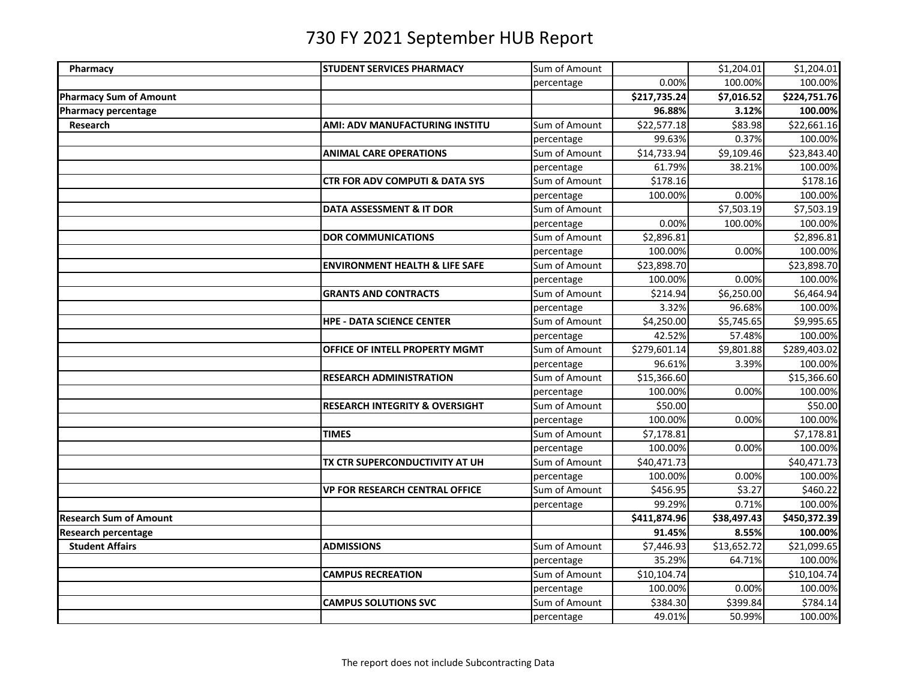| Pharmacy                      | <b>STUDENT SERVICES PHARMACY</b>          | Sum of Amount |              | \$1,204.01  | \$1,204.01   |
|-------------------------------|-------------------------------------------|---------------|--------------|-------------|--------------|
|                               |                                           | percentage    | 0.00%        | 100.00%     | 100.00%      |
| <b>Pharmacy Sum of Amount</b> |                                           |               | \$217,735.24 | \$7,016.52  | \$224,751.76 |
| Pharmacy percentage           |                                           |               | 96.88%       | 3.12%       | 100.00%      |
| Research                      | <b>AMI: ADV MANUFACTURING INSTITU</b>     | Sum of Amount | \$22,577.18  | \$83.98     | \$22,661.16  |
|                               |                                           | percentage    | 99.63%       | 0.37%       | 100.00%      |
|                               | <b>ANIMAL CARE OPERATIONS</b>             | Sum of Amount | \$14,733.94  | \$9,109.46  | \$23,843.40  |
|                               |                                           | percentage    | 61.79%       | 38.21%      | 100.00%      |
|                               | <b>CTR FOR ADV COMPUTI &amp; DATA SYS</b> | Sum of Amount | \$178.16     |             | \$178.16     |
|                               |                                           | percentage    | 100.00%      | 0.00%       | 100.00%      |
|                               | DATA ASSESSMENT & IT DOR                  | Sum of Amount |              | \$7,503.19  | \$7,503.19   |
|                               |                                           | percentage    | 0.00%        | 100.00%     | 100.00%      |
|                               | <b>DOR COMMUNICATIONS</b>                 | Sum of Amount | \$2,896.81   |             | \$2,896.81   |
|                               |                                           | percentage    | 100.00%      | 0.00%       | 100.00%      |
|                               | <b>ENVIRONMENT HEALTH &amp; LIFE SAFE</b> | Sum of Amount | \$23,898.70  |             | \$23,898.70  |
|                               |                                           | percentage    | 100.00%      | 0.00%       | 100.00%      |
|                               | <b>GRANTS AND CONTRACTS</b>               | Sum of Amount | \$214.94     | \$6,250.00  | \$6,464.94   |
|                               |                                           | percentage    | 3.32%        | 96.68%      | 100.00%      |
|                               | <b>HPE - DATA SCIENCE CENTER</b>          | Sum of Amount | \$4,250.00   | \$5,745.65  | \$9,995.65   |
|                               |                                           | percentage    | 42.52%       | 57.48%      | 100.00%      |
|                               | OFFICE OF INTELL PROPERTY MGMT            | Sum of Amount | \$279,601.14 | \$9,801.88  | \$289,403.02 |
|                               |                                           | percentage    | 96.61%       | 3.39%       | 100.00%      |
|                               | <b>RESEARCH ADMINISTRATION</b>            | Sum of Amount | \$15,366.60  |             | \$15,366.60  |
|                               |                                           | percentage    | 100.00%      | 0.00%       | 100.00%      |
|                               | <b>RESEARCH INTEGRITY &amp; OVERSIGHT</b> | Sum of Amount | \$50.00      |             | 550.00       |
|                               |                                           | percentage    | 100.00%      | 0.00%       | 100.00%      |
|                               | <b>TIMES</b>                              | Sum of Amount | \$7,178.81   |             | \$7,178.81   |
|                               |                                           | percentage    | 100.00%      | 0.00%       | 100.00%      |
|                               | TX CTR SUPERCONDUCTIVITY AT UH            | Sum of Amount | \$40,471.73  |             | \$40,471.73  |
|                               |                                           | percentage    | 100.00%      | 0.00%       | 100.00%      |
|                               | <b>VP FOR RESEARCH CENTRAL OFFICE</b>     | Sum of Amount | \$456.95     | \$3.27      | \$460.22     |
|                               |                                           | percentage    | 99.29%       | 0.71%       | 100.00%      |
| <b>Research Sum of Amount</b> |                                           |               | \$411,874.96 | \$38,497.43 | \$450,372.39 |
| <b>Research percentage</b>    |                                           |               | 91.45%       | 8.55%       | 100.00%      |
| <b>Student Affairs</b>        | <b>ADMISSIONS</b>                         | Sum of Amount | \$7,446.93   | \$13,652.72 | \$21,099.65  |
|                               |                                           | percentage    | 35.29%       | 64.71%      | 100.00%      |
|                               | <b>CAMPUS RECREATION</b>                  | Sum of Amount | \$10,104.74  |             | \$10,104.74  |
|                               |                                           | percentage    | 100.00%      | 0.00%       | 100.00%      |
|                               | <b>CAMPUS SOLUTIONS SVC</b>               | Sum of Amount | \$384.30     | \$399.84    | \$784.14     |
|                               |                                           | percentage    | 49.01%       | 50.99%      | 100.00%      |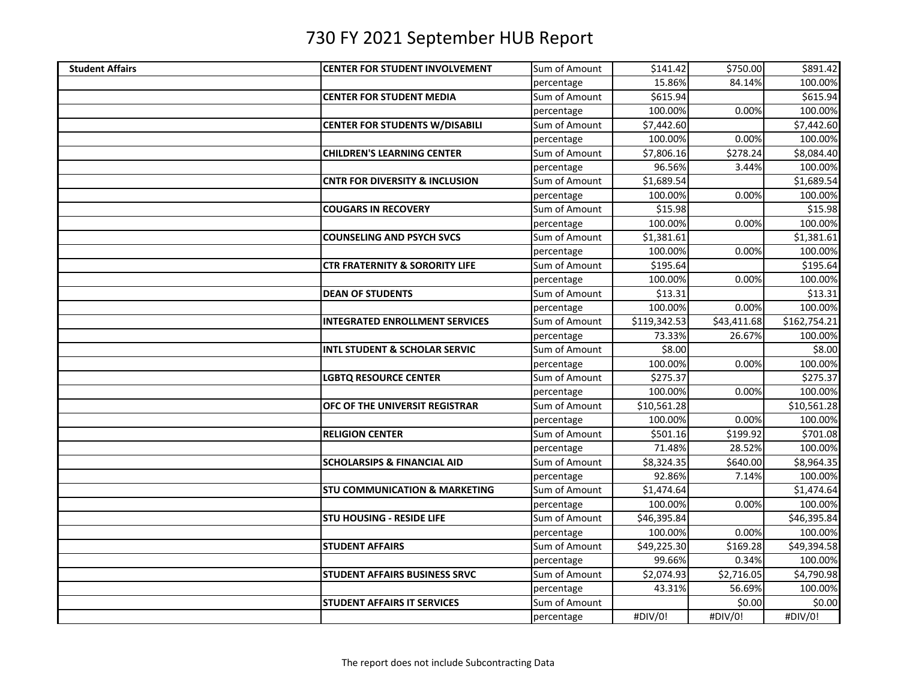| <b>Student Affairs</b> | <b>CENTER FOR STUDENT INVOLVEMENT</b>     | Sum of Amount | \$141.42     | \$750.00    | \$891.42     |
|------------------------|-------------------------------------------|---------------|--------------|-------------|--------------|
|                        |                                           | percentage    | 15.86%       | 84.14%      | 100.00%      |
|                        | <b>CENTER FOR STUDENT MEDIA</b>           | Sum of Amount | \$615.94     |             | \$615.94     |
|                        |                                           | percentage    | 100.00%      | 0.00%       | 100.00%      |
|                        | <b>CENTER FOR STUDENTS W/DISABILI</b>     | Sum of Amount | \$7,442.60   |             | \$7,442.60   |
|                        |                                           | percentage    | 100.00%      | 0.00%       | 100.00%      |
|                        | <b>CHILDREN'S LEARNING CENTER</b>         | Sum of Amount | \$7,806.16   | \$278.24    | \$8,084.40   |
|                        |                                           | percentage    | 96.56%       | 3.44%       | 100.00%      |
|                        | <b>CNTR FOR DIVERSITY &amp; INCLUSION</b> | Sum of Amount | \$1,689.54   |             | \$1,689.54   |
|                        |                                           | percentage    | 100.00%      | 0.00%       | 100.00%      |
|                        | <b>COUGARS IN RECOVERY</b>                | Sum of Amount | \$15.98      |             | \$15.98      |
|                        |                                           | percentage    | 100.00%      | 0.00%       | 100.00%      |
|                        | <b>COUNSELING AND PSYCH SVCS</b>          | Sum of Amount | \$1,381.61   |             | \$1,381.61   |
|                        |                                           | percentage    | 100.00%      | 0.00%       | 100.00%      |
|                        | <b>CTR FRATERNITY &amp; SORORITY LIFE</b> | Sum of Amount | \$195.64     |             | \$195.64     |
|                        |                                           | percentage    | 100.00%      | 0.00%       | 100.00%      |
|                        | <b>DEAN OF STUDENTS</b>                   | Sum of Amount | \$13.31      |             | \$13.31      |
|                        |                                           | percentage    | 100.00%      | 0.00%       | 100.00%      |
|                        | <b>INTEGRATED ENROLLMENT SERVICES</b>     | Sum of Amount | \$119,342.53 | \$43,411.68 | \$162,754.21 |
|                        |                                           | percentage    | 73.33%       | 26.67%      | 100.00%      |
|                        | <b>INTL STUDENT &amp; SCHOLAR SERVIC</b>  | Sum of Amount | \$8.00       |             | \$8.00       |
|                        |                                           | percentage    | 100.00%      | 0.00%       | 100.00%      |
|                        | LGBTQ RESOURCE CENTER                     | Sum of Amount | \$275.37     |             | \$275.37     |
|                        |                                           | percentage    | 100.00%      | 0.00%       | 100.00%      |
|                        | OFC OF THE UNIVERSIT REGISTRAR            | Sum of Amount | \$10,561.28  |             | \$10,561.28  |
|                        |                                           | percentage    | 100.00%      | 0.00%       | 100.00%      |
|                        | <b>RELIGION CENTER</b>                    | Sum of Amount | \$501.16     | \$199.92    | \$701.08     |
|                        |                                           | percentage    | 71.48%       | 28.52%      | 100.00%      |
|                        | <b>SCHOLARSIPS &amp; FINANCIAL AID</b>    | Sum of Amount | \$8,324.35   | \$640.00    | \$8,964.35   |
|                        |                                           | percentage    | 92.86%       | 7.14%       | 100.00%      |
|                        | <b>STU COMMUNICATION &amp; MARKETING</b>  | Sum of Amount | \$1,474.64   |             | \$1,474.64   |
|                        |                                           | percentage    | 100.00%      | 0.00%       | 100.00%      |
|                        | <b>STU HOUSING - RESIDE LIFE</b>          | Sum of Amount | \$46,395.84  |             | \$46,395.84  |
|                        |                                           | percentage    | 100.00%      | 0.00%       | 100.00%      |
|                        | <b>STUDENT AFFAIRS</b>                    | Sum of Amount | \$49,225.30  | \$169.28    | \$49,394.58  |
|                        |                                           | percentage    | 99.66%       | 0.34%       | 100.00%      |
|                        | STUDENT AFFAIRS BUSINESS SRVC             | Sum of Amount | \$2,074.93   | \$2,716.05  | \$4,790.98   |
|                        |                                           | percentage    | 43.31%       | 56.69%      | 100.00%      |
|                        | <b>STUDENT AFFAIRS IT SERVICES</b>        | Sum of Amount |              | \$0.00      | \$0.00       |
|                        |                                           | percentage    | #DIV/0!      | #DIV/0!     | #DIV/0!      |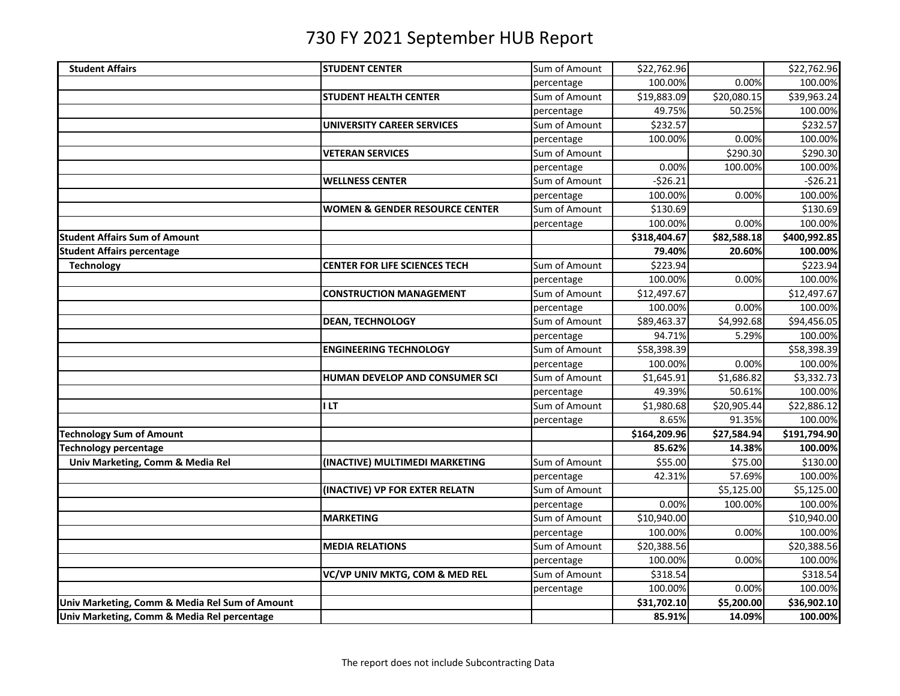| <b>Student Affairs</b>                         | <b>STUDENT CENTER</b>                     | Sum of Amount | \$22,762.96             |                        | \$22,762.96  |
|------------------------------------------------|-------------------------------------------|---------------|-------------------------|------------------------|--------------|
|                                                |                                           | percentage    | 100.00%                 | 0.00%                  | 100.00%      |
|                                                | <b>STUDENT HEALTH CENTER</b>              | Sum of Amount | \$19,883.09             | \$20,080.15            | \$39,963.24  |
|                                                |                                           | percentage    | 49.75%                  | 50.25%                 | 100.00%      |
|                                                | <b>UNIVERSITY CAREER SERVICES</b>         | Sum of Amount | \$232.57                |                        | \$232.57     |
|                                                |                                           | percentage    | 100.00%                 | 0.00%                  | 100.00%      |
|                                                | <b>VETERAN SERVICES</b>                   | Sum of Amount |                         | \$290.30               | \$290.30     |
|                                                |                                           | percentage    | 0.00%                   | 100.00%                | 100.00%      |
|                                                | <b>WELLNESS CENTER</b>                    | Sum of Amount | $-526.21$               |                        | $-526.21$    |
|                                                |                                           | percentage    | 100.00%                 | 0.00%                  | 100.00%      |
|                                                | <b>WOMEN &amp; GENDER RESOURCE CENTER</b> | Sum of Amount | \$130.69                |                        | \$130.69     |
|                                                |                                           | percentage    | 100.00%                 | 0.00%                  | 100.00%      |
| <b>Student Affairs Sum of Amount</b>           |                                           |               | \$318,404.67            | \$82,588.18            | \$400,992.85 |
| <b>Student Affairs percentage</b>              |                                           |               | 79.40%                  | 20.60%                 | 100.00%      |
| <b>Technology</b>                              | <b>CENTER FOR LIFE SCIENCES TECH</b>      | Sum of Amount | \$223.94                |                        | \$223.94     |
|                                                |                                           | percentage    | 100.00%                 | 0.00%                  | 100.00%      |
|                                                | <b>CONSTRUCTION MANAGEMENT</b>            | Sum of Amount | \$12,497.67             |                        | \$12,497.67  |
|                                                |                                           | percentage    | 100.00%                 | 0.00%                  | 100.00%      |
|                                                | <b>DEAN, TECHNOLOGY</b>                   | Sum of Amount | $\overline{$89,463.37}$ | $\overline{54,992.68}$ | \$94,456.05  |
|                                                |                                           | percentage    | 94.71%                  | 5.29%                  | 100.00%      |
|                                                | <b>ENGINEERING TECHNOLOGY</b>             | Sum of Amount | \$58,398.39             |                        | \$58,398.39  |
|                                                |                                           | percentage    | 100.00%                 | 0.00%                  | 100.00%      |
|                                                | HUMAN DEVELOP AND CONSUMER SCI            | Sum of Amount | \$1,645.91              | \$1,686.82             | \$3,332.73   |
|                                                |                                           | percentage    | 49.39%                  | 50.61%                 | 100.00%      |
|                                                | <b>ILT</b>                                | Sum of Amount | \$1,980.68              | \$20,905.44            | \$22,886.12  |
|                                                |                                           | percentage    | 8.65%                   | 91.35%                 | 100.00%      |
| <b>Technology Sum of Amount</b>                |                                           |               | \$164,209.96            | \$27,584.94            | \$191,794.90 |
| Technology percentage                          |                                           |               | 85.62%                  | 14.38%                 | 100.00%      |
| Univ Marketing, Comm & Media Rel               | (INACTIVE) MULTIMEDI MARKETING            | Sum of Amount | \$55.00                 | \$75.00                | \$130.00     |
|                                                |                                           | percentage    | 42.31%                  | 57.69%                 | 100.00%      |
|                                                | (INACTIVE) VP FOR EXTER RELATN            | Sum of Amount |                         | \$5,125.00             | \$5,125.00   |
|                                                |                                           | percentage    | 0.00%                   | 100.00%                | 100.00%      |
|                                                | <b>MARKETING</b>                          | Sum of Amount | \$10,940.00             |                        | \$10,940.00  |
|                                                |                                           | percentage    | 100.00%                 | 0.00%                  | 100.00%      |
|                                                | <b>MEDIA RELATIONS</b>                    | Sum of Amount | \$20,388.56             |                        | \$20,388.56  |
|                                                |                                           | percentage    | 100.00%                 | 0.00%                  | 100.00%      |
|                                                | VC/VP UNIV MKTG, COM & MED REL            | Sum of Amount | \$318.54                |                        | \$318.54     |
|                                                |                                           | percentage    | 100.00%                 | 0.00%                  | 100.00%      |
| Univ Marketing, Comm & Media Rel Sum of Amount |                                           |               | \$31,702.10             | \$5,200.00             | \$36,902.10  |
| Univ Marketing, Comm & Media Rel percentage    |                                           |               | 85.91%                  | 14.09%                 | 100.00%      |